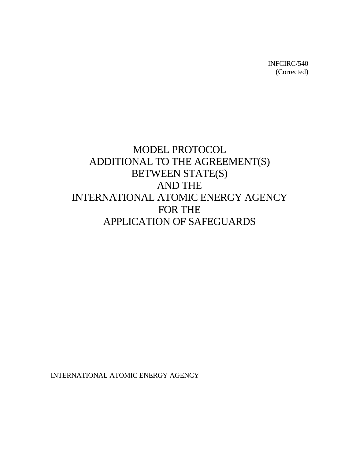INFCIRC/540 (Corrected)

# MODEL PROTOCOL ADDITIONAL TO THE AGREEMENT(S) BETWEEN STATE(S) AND THE INTERNATIONAL ATOMIC ENERGY AGENCY FOR THE APPLICATION OF SAFEGUARDS

INTERNATIONAL ATOMIC ENERGY AGENCY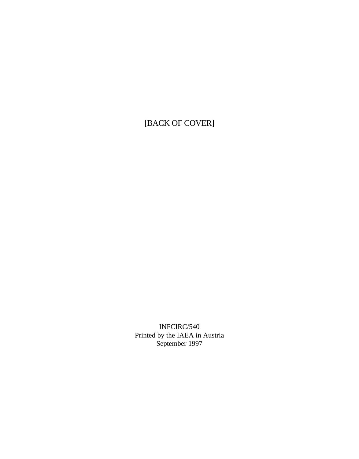[BACK OF COVER]

INFCIRC/540 Printed by the IAEA in Austria September 1997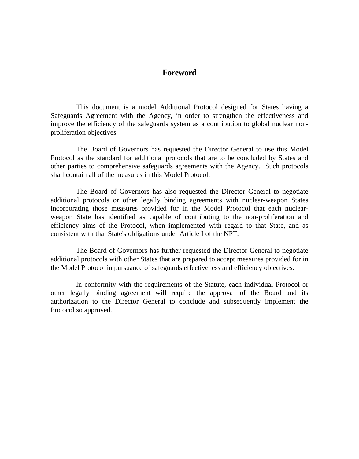## **Foreword**

This document is a model Additional Protocol designed for States having a Safeguards Agreement with the Agency, in order to strengthen the effectiveness and improve the efficiency of the safeguards system as a contribution to global nuclear nonproliferation objectives.

The Board of Governors has requested the Director General to use this Model Protocol as the standard for additional protocols that are to be concluded by States and other parties to comprehensive safeguards agreements with the Agency. Such protocols shall contain all of the measures in this Model Protocol.

The Board of Governors has also requested the Director General to negotiate additional protocols or other legally binding agreements with nuclear-weapon States incorporating those measures provided for in the Model Protocol that each nuclearweapon State has identified as capable of contributing to the non-proliferation and efficiency aims of the Protocol, when implemented with regard to that State, and as consistent with that State's obligations under Article I of the NPT.

The Board of Governors has further requested the Director General to negotiate additional protocols with other States that are prepared to accept measures provided for in the Model Protocol in pursuance of safeguards effectiveness and efficiency objectives.

In conformity with the requirements of the Statute, each individual Protocol or other legally binding agreement will require the approval of the Board and its authorization to the Director General to conclude and subsequently implement the Protocol so approved.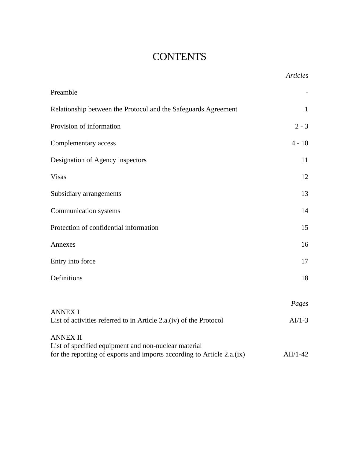# **CONTENTS**

|                                                                    | <b>Articles</b> |
|--------------------------------------------------------------------|-----------------|
| Preamble                                                           |                 |
| Relationship between the Protocol and the Safeguards Agreement     | 1               |
| Provision of information                                           | $2 - 3$         |
| Complementary access                                               | $4 - 10$        |
| Designation of Agency inspectors                                   | 11              |
| <b>Visas</b>                                                       | 12              |
| Subsidiary arrangements                                            | 13              |
| Communication systems                                              | 14              |
| Protection of confidential information                             | 15              |
| Annexes                                                            | 16              |
| Entry into force                                                   | 17              |
| Definitions                                                        | 18              |
|                                                                    |                 |
| <b>ANNEX I</b>                                                     | Pages           |
| List of activities referred to in Article 2.a.(iv) of the Protocol | $AI/1-3$        |
| <b>ANNEX II</b>                                                    |                 |
| List of specified equipment and non-nuclear material               |                 |

for the reporting of exports and imports according to Article 2.a.(ix) AII/1-42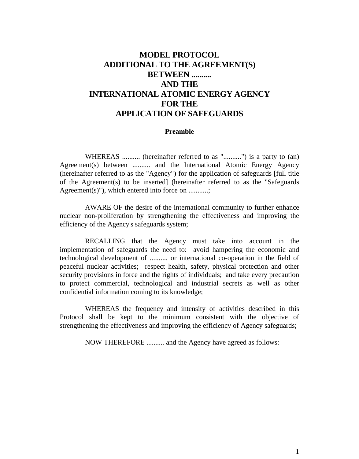# **MODEL PROTOCOL ADDITIONAL TO THE AGREEMENT(S) BETWEEN .......... AND THE INTERNATIONAL ATOMIC ENERGY AGENCY FOR THE APPLICATION OF SAFEGUARDS**

#### **Preamble**

WHEREAS .......... (hereinafter referred to as "..........") is a party to (an) Agreement(s) between .......... and the International Atomic Energy Agency (hereinafter referred to as the "Agency") for the application of safeguards [full title of the Agreement(s) to be inserted] (hereinafter referred to as the "Safeguards Agreement(s)"), which entered into force on ...........;

AWARE OF the desire of the international community to further enhance nuclear non-proliferation by strengthening the effectiveness and improving the efficiency of the Agency's safeguards system;

RECALLING that the Agency must take into account in the implementation of safeguards the need to: avoid hampering the economic and technological development of .......... or international co-operation in the field of peaceful nuclear activities; respect health, safety, physical protection and other security provisions in force and the rights of individuals; and take every precaution to protect commercial, technological and industrial secrets as well as other confidential information coming to its knowledge;

WHEREAS the frequency and intensity of activities described in this Protocol shall be kept to the minimum consistent with the objective of strengthening the effectiveness and improving the efficiency of Agency safeguards;

NOW THEREFORE .......... and the Agency have agreed as follows: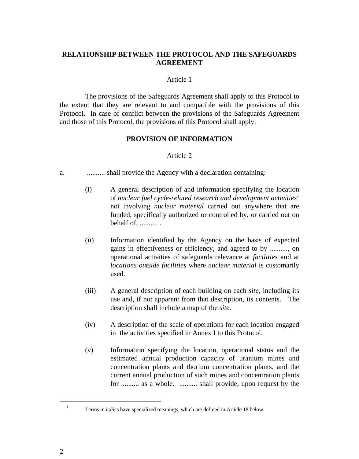# **RELATIONSHIP BETWEEN THE PROTOCOL AND THE SAFEGUARDS AGREEMENT**

#### Article 1

The provisions of the Safeguards Agreement shall apply to this Protocol to the extent that they are relevant to and compatible with the provisions of this Protocol. In case of conflict between the provisions of the Safeguards Agreement and those of this Protocol, the provisions of this Protocol shall apply.

#### **PROVISION OF INFORMATION**

#### Article 2

- a. .......... shall provide the Agency with a declaration containing:
	- (i) A general description of and information specifying the location of *nuclear fuel cycle-related research and development activities*<sup>1</sup> not involving *nuclear material* carried out anywhere that are funded, specifically authorized or controlled by, or carried out on behalf of, .......... .
	- (ii) Information identified by the Agency on the basis of expected gains in effectiveness or efficiency, and agreed to by .........., on operational activities of safeguards relevance at *facilities* and at *locations outside facilities* where *nuclear material* is customarily used.
	- (iii) A general description of each building on each *site*, including its use and, if not apparent from that description, its contents. The description shall include a map of the *site*.
	- (iv) A description of the scale of operations for each location engaged in the activities specified in Annex I to this Protocol.
	- (v) Information specifying the location, operational status and the estimated annual production capacity of uranium mines and concentration plants and thorium concentration plants, and the current annual production of such mines and concentration plants for .......... as a whole. .......... shall provide, upon request by the

-1

Terms in italics have specialized meanings, which are defined in Article 18 below.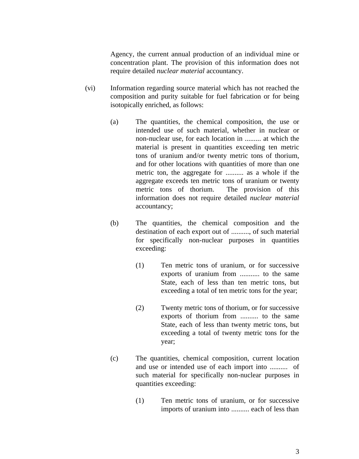Agency, the current annual production of an individual mine or concentration plant. The provision of this information does not require detailed *nuclear material* accountancy.

- (vi) Information regarding source material which has not reached the composition and purity suitable for fuel fabrication or for being isotopically enriched, as follows:
	- (a) The quantities, the chemical composition, the use or intended use of such material, whether in nuclear or non-nuclear use, for each location in ......... at which the material is present in quantities exceeding ten metric tons of uranium and/or twenty metric tons of thorium, and for other locations with quantities of more than one metric ton, the aggregate for .......... as a whole if the aggregate exceeds ten metric tons of uranium or twenty metric tons of thorium. The provision of this information does not require detailed *nuclear material* accountancy;
	- (b) The quantities, the chemical composition and the destination of each export out of .........., of such material for specifically non-nuclear purposes in quantities exceeding:
		- (1) Ten metric tons of uranium, or for successive exports of uranium from ........... to the same State, each of less than ten metric tons, but exceeding a total of ten metric tons for the year;
		- (2) Twenty metric tons of thorium, or for successive exports of thorium from .......... to the same State, each of less than twenty metric tons, but exceeding a total of twenty metric tons for the year;
	- (c) The quantities, chemical composition, current location and use or intended use of each import into .......... of such material for specifically non-nuclear purposes in quantities exceeding:
		- (1) Ten metric tons of uranium, or for successive imports of uranium into .......... each of less than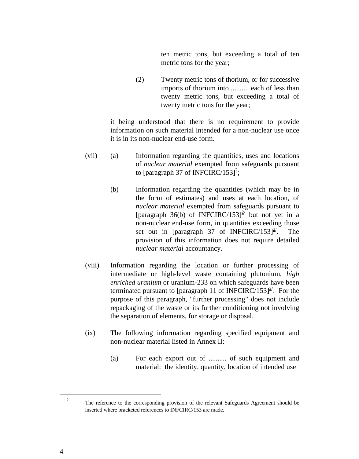ten metric tons, but exceeding a total of ten metric tons for the year;

(2) Twenty metric tons of thorium, or for successive imports of thorium into .......... each of less than twenty metric tons, but exceeding a total of twenty metric tons for the year;

it being understood that there is no requirement to provide information on such material intended for a non-nuclear use once it is in its non-nuclear end-use form.

- (vii) (a) Information regarding the quantities, uses and locations of *nuclear material* exempted from safeguards pursuant to [paragraph 37 of INFCIRC/153]<sup>2</sup>;
	- (b) Information regarding the quantities (which may be in the form of estimates) and uses at each location, of *nuclear material* exempted from safeguards pursuant to [paragraph 36(b) of INFCIRC/153] $^{2}$  but not yet in a non-nuclear end-use form, in quantities exceeding those set out in [paragraph 37 of INFCIRC/153] $^{2}$ . . The provision of this information does not require detailed *nuclear material* accountancy.
- (viii) Information regarding the location or further processing of intermediate or high-level waste containing plutonium, *high enriched uranium* or uranium-233 on which safeguards have been terminated pursuant to [paragraph 11 of INFCIRC/153] $<sup>2</sup>$ . For the</sup> purpose of this paragraph, "further processing" does not include repackaging of the waste or its further conditioning not involving the separation of elements, for storage or disposal.
- (ix) The following information regarding specified equipment and non-nuclear material listed in Annex II:
	- (a) For each export out of .......... of such equipment and material: the identity, quantity, location of intended use

-2

The reference to the corresponding provision of the relevant Safeguards Agreement should be inserted where bracketed references to INFCIRC/153 are made.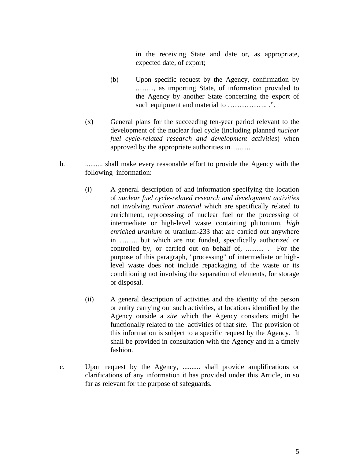in the receiving State and date or, as appropriate, expected date, of export;

- (b) Upon specific request by the Agency, confirmation by .........., as importing State, of information provided to the Agency by another State concerning the export of such equipment and material to …………….. .".
- (x) General plans for the succeeding ten-year period relevant to the development of the nuclear fuel cycle (including planned *nuclear fuel cycle-related research and development activities*) when approved by the appropriate authorities in .......... .
- b. .......... shall make every reasonable effort to provide the Agency with the following information:
	- (i) A general description of and information specifying the location of *nuclear fuel cycle-related research and development activities* not involving *nuclear material* which are specifically related to enrichment, reprocessing of nuclear fuel or the processing of intermediate or high-level waste containing plutonium, *high enriched uranium* or uranium-233 that are carried out anywhere in .......... but which are not funded, specifically authorized or controlled by, or carried out on behalf of, .......... . For the purpose of this paragraph, "processing" of intermediate or highlevel waste does not include repackaging of the waste or its conditioning not involving the separation of elements, for storage or disposal.
	- (ii) A general description of activities and the identity of the person or entity carrying out such activities, at locations identified by the Agency outside a *site* which the Agency considers might be functionally related to the activities of that *site*. The provision of this information is subject to a specific request by the Agency. It shall be provided in consultation with the Agency and in a timely fashion.
- c. Upon request by the Agency, .......... shall provide amplifications or clarifications of any information it has provided under this Article, in so far as relevant for the purpose of safeguards.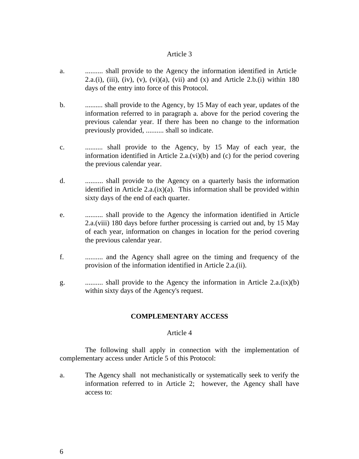#### Article 3

- a. .......... shall provide to the Agency the information identified in Article 2.a.(i), (iii), (iv), (v), (vi)(a), (vii) and (x) and Article 2.b.(i) within 180 days of the entry into force of this Protocol.
- b. .......... shall provide to the Agency, by 15 May of each year, updates of the information referred to in paragraph a. above for the period covering the previous calendar year. If there has been no change to the information previously provided, .......... shall so indicate.
- c. .......... shall provide to the Agency, by 15 May of each year, the information identified in Article 2.a.(vi)(b) and (c) for the period covering the previous calendar year.
- d. .......... shall provide to the Agency on a quarterly basis the information identified in Article 2.a.(ix)(a). This information shall be provided within sixty days of the end of each quarter.
- e. .......... shall provide to the Agency the information identified in Article 2.a.(viii) 180 days before further processing is carried out and, by 15 May of each year, information on changes in location for the period covering the previous calendar year.
- f. .......... and the Agency shall agree on the timing and frequency of the provision of the information identified in Article 2.a.(ii).
- g. .......... shall provide to the Agency the information in Article 2.a.(ix)(b) within sixty days of the Agency's request.

#### **COMPLEMENTARY ACCESS**

#### Article 4

The following shall apply in connection with the implementation of complementary access under Article 5 of this Protocol:

a. The Agency shall not mechanistically or systematically seek to verify the information referred to in Article 2; however, the Agency shall have access to: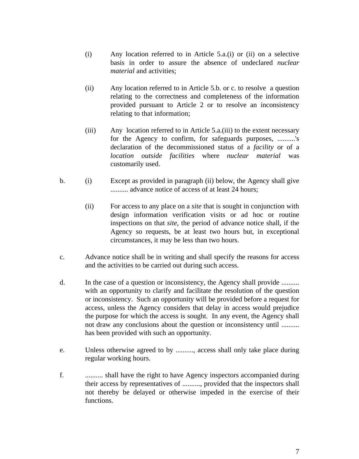- (i) Any location referred to in Article 5.a.(i) or (ii) on a selective basis in order to assure the absence of undeclared *nuclear material* and activities;
- (ii) Any location referred to in Article 5.b. or c. to resolve a question relating to the correctness and completeness of the information provided pursuant to Article 2 or to resolve an inconsistency relating to that information;
- (iii) Any location referred to in Article 5.a.(iii) to the extent necessary for the Agency to confirm, for safeguards purposes, ..........'s declaration of the decommissioned status of a *facility* or of a *location outside facilities* where *nuclear material* was customarily used.
- b. (i) Except as provided in paragraph (ii) below, the Agency shall give .......... advance notice of access of at least 24 hours;
	- (ii) For access to any place on a *site* that is sought in conjunction with design information verification visits or ad hoc or routine inspections on that *site*, the period of advance notice shall, if the Agency so requests, be at least two hours but, in exceptional circumstances, it may be less than two hours.
- c. Advance notice shall be in writing and shall specify the reasons for access and the activities to be carried out during such access.
- d. In the case of a question or inconsistency, the Agency shall provide .......... with an opportunity to clarify and facilitate the resolution of the question or inconsistency. Such an opportunity will be provided before a request for access, unless the Agency considers that delay in access would prejudice the purpose for which the access is sought. In any event, the Agency shall not draw any conclusions about the question or inconsistency until .......... has been provided with such an opportunity.
- e. Unless otherwise agreed to by .........., access shall only take place during regular working hours.
- f. .......... shall have the right to have Agency inspectors accompanied during their access by representatives of .........., provided that the inspectors shall not thereby be delayed or otherwise impeded in the exercise of their functions.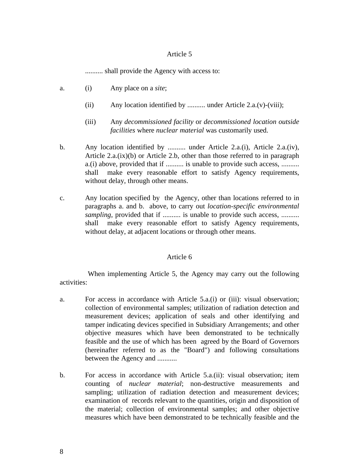#### Article 5

.......... shall provide the Agency with access to:

- a. (i) Any place on a *site*;
	- (ii) Any location identified by .......... under Article 2.a.(v)-(viii);
	- (iii) Any *decommissioned facility* or *decommissioned location outside facilities* where *nuclear material* was customarily used.
- b. Any location identified by .......... under Article 2.a.(i), Article 2.a.(iv), Article 2.a.(ix)(b) or Article 2.b, other than those referred to in paragraph a.(i) above, provided that if .......... is unable to provide such access, ......... shall make every reasonable effort to satisfy Agency requirements, without delay, through other means.
- c. Any location specified by the Agency, other than locations referred to in paragraphs a. and b. above, to carry out *location-specific environmental sampling*, provided that if ......... is unable to provide such access, ......... shall make every reasonable effort to satisfy Agency requirements, without delay, at adjacent locations or through other means.

#### Article 6

 When implementing Article 5, the Agency may carry out the following activities:

- a. For access in accordance with Article 5.a.(i) or (iii): visual observation; collection of environmental samples; utilization of radiation detection and measurement devices; application of seals and other identifying and tamper indicating devices specified in Subsidiary Arrangements; and other objective measures which have been demonstrated to be technically feasible and the use of which has been agreed by the Board of Governors (hereinafter referred to as the "Board") and following consultations between the Agency and ...........
- b. For access in accordance with Article 5.a.(ii): visual observation; item counting of *nuclear material*; non-destructive measurements and sampling; utilization of radiation detection and measurement devices; examination of records relevant to the quantities, origin and disposition of the material; collection of environmental samples; and other objective measures which have been demonstrated to be technically feasible and the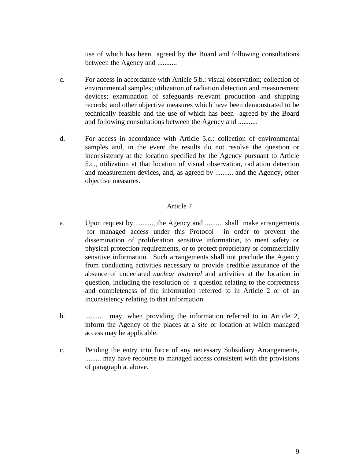use of which has been agreed by the Board and following consultations between the Agency and ...........

- c. For access in accordance with Article 5.b.: visual observation; collection of environmental samples; utilization of radiation detection and measurement devices; examination of safeguards relevant production and shipping records; and other objective measures which have been demonstrated to be technically feasible and the use of which has been agreed by the Board and following consultations between the Agency and ...........
- d. For access in accordance with Article 5.c.: collection of environmental samples and, in the event the results do not resolve the question or inconsistency at the location specified by the Agency pursuant to Article 5.c., utilization at that location of visual observation, radiation detection and measurement devices, and, as agreed by .......... and the Agency, other objective measures.

#### Article 7

- a. Upon request by .........., the Agency and .......... shall make arrangements for managed access under this Protocol in order to prevent the dissemination of proliferation sensitive information, to meet safety or physical protection requirements, or to protect proprietary or commercially sensitive information. Such arrangements shall not preclude the Agency from conducting activities necessary to provide credible assurance of the absence of undeclared *nuclear material* and activities at the location in question, including the resolution of a question relating to the correctness and completeness of the information referred to in Article 2 or of an inconsistency relating to that information.
- b. .......... may, when providing the information referred to in Article 2, inform the Agency of the places at a *site* or location at which managed access may be applicable.
- c. Pending the entry into force of any necessary Subsidiary Arrangements, ......... may have recourse to managed access consistent with the provisions of paragraph a. above.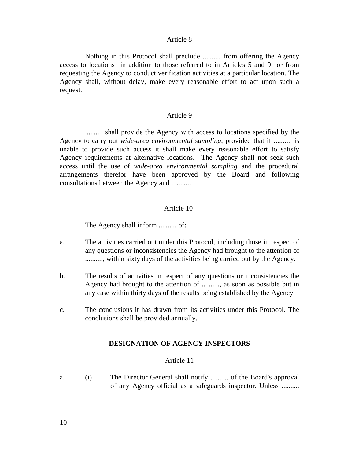# Article 8

Nothing in this Protocol shall preclude .......... from offering the Agency access to locations in addition to those referred to in Articles 5 and 9 or from requesting the Agency to conduct verification activities at a particular location. The Agency shall, without delay, make every reasonable effort to act upon such a request.

#### Article 9

.......... shall provide the Agency with access to locations specified by the Agency to carry out *wide-area environmental sampling*, provided that if .......... is unable to provide such access it shall make every reasonable effort to satisfy Agency requirements at alternative locations. The Agency shall not seek such access until the use of *wide-area environmental sampling* and the procedural arrangements therefor have been approved by the Board and following consultations between the Agency and ...........

#### Article 10

The Agency shall inform .......... of:

- a. The activities carried out under this Protocol, including those in respect of any questions or inconsistencies the Agency had brought to the attention of .........., within sixty days of the activities being carried out by the Agency.
- b. The results of activities in respect of any questions or inconsistencies the Agency had brought to the attention of .........., as soon as possible but in any case within thirty days of the results being established by the Agency.
- c. The conclusions it has drawn from its activities under this Protocol. The conclusions shall be provided annually.

#### **DESIGNATION OF AGENCY INSPECTORS**

#### Article 11

a. (i) The Director General shall notify .......... of the Board's approval of any Agency official as a safeguards inspector. Unless ..........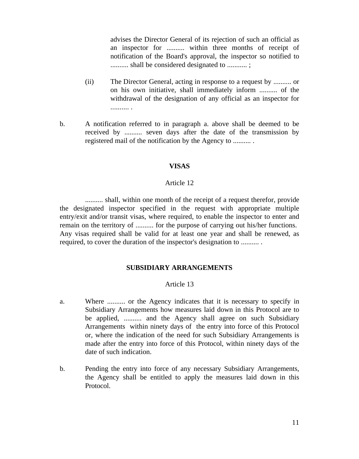advises the Director General of its rejection of such an official as an inspector for .......... within three months of receipt of notification of the Board's approval, the inspector so notified to .......... shall be considered designated to ........... ;

- (ii) The Director General, acting in response to a request by .......... or on his own initiative, shall immediately inform .......... of the withdrawal of the designation of any official as an inspector for .......... .
- b. A notification referred to in paragraph a. above shall be deemed to be received by .......... seven days after the date of the transmission by registered mail of the notification by the Agency to .......... .

#### **VISAS**

#### Article 12

.......... shall, within one month of the receipt of a request therefor, provide the designated inspector specified in the request with appropriate multiple entry/exit and/or transit visas, where required, to enable the inspector to enter and remain on the territory of .......... for the purpose of carrying out his/her functions. Any visas required shall be valid for at least one year and shall be renewed, as required, to cover the duration of the inspector's designation to .......... .

#### **SUBSIDIARY ARRANGEMENTS**

#### Article 13

- a. Where .......... or the Agency indicates that it is necessary to specify in Subsidiary Arrangements how measures laid down in this Protocol are to be applied, .......... and the Agency shall agree on such Subsidiary Arrangements within ninety days of the entry into force of this Protocol or, where the indication of the need for such Subsidiary Arrangements is made after the entry into force of this Protocol, within ninety days of the date of such indication.
- b. Pending the entry into force of any necessary Subsidiary Arrangements, the Agency shall be entitled to apply the measures laid down in this Protocol.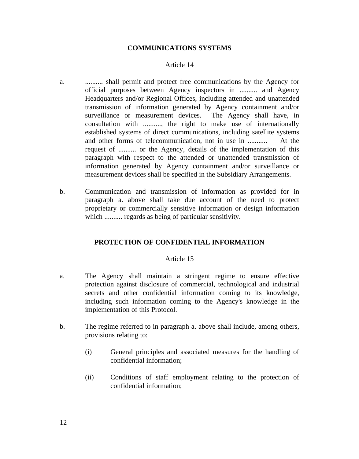#### **COMMUNICATIONS SYSTEMS**

#### Article 14

- a. .......... shall permit and protect free communications by the Agency for official purposes between Agency inspectors in .......... and Agency Headquarters and/or Regional Offices, including attended and unattended transmission of information generated by Agency containment and/or surveillance or measurement devices. The Agency shall have, in consultation with .........., the right to make use of internationally established systems of direct communications, including satellite systems and other forms of telecommunication, not in use in ........... At the request of .......... or the Agency, details of the implementation of this paragraph with respect to the attended or unattended transmission of information generated by Agency containment and/or surveillance or measurement devices shall be specified in the Subsidiary Arrangements.
- b. Communication and transmission of information as provided for in paragraph a. above shall take due account of the need to protect proprietary or commercially sensitive information or design information which .......... regards as being of particular sensitivity.

#### **PROTECTION OF CONFIDENTIAL INFORMATION**

#### Article 15

- a. The Agency shall maintain a stringent regime to ensure effective protection against disclosure of commercial, technological and industrial secrets and other confidential information coming to its knowledge, including such information coming to the Agency's knowledge in the implementation of this Protocol.
- b. The regime referred to in paragraph a. above shall include, among others, provisions relating to:
	- (i) General principles and associated measures for the handling of confidential information;
	- (ii) Conditions of staff employment relating to the protection of confidential information;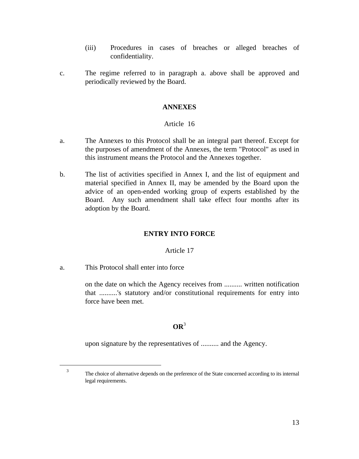- (iii) Procedures in cases of breaches or alleged breaches of confidentiality.
- c. The regime referred to in paragraph a. above shall be approved and periodically reviewed by the Board.

#### **ANNEXES**

#### Article 16

- a. The Annexes to this Protocol shall be an integral part thereof. Except for the purposes of amendment of the Annexes, the term "Protocol" as used in this instrument means the Protocol and the Annexes together.
- b. The list of activities specified in Annex I, and the list of equipment and material specified in Annex II, may be amended by the Board upon the advice of an open-ended working group of experts established by the Board. Any such amendment shall take effect four months after its adoption by the Board.

#### **ENTRY INTO FORCE**

#### Article 17

a. This Protocol shall enter into force

-3 on the date on which the Agency receives from .......... written notification that ..........'s statutory and/or constitutional requirements for entry into force have been met.

## $OR<sup>3</sup>$

upon signature by the representatives of .......... and the Agency.

The choice of alternative depends on the preference of the State concerned according to its internal legal requirements.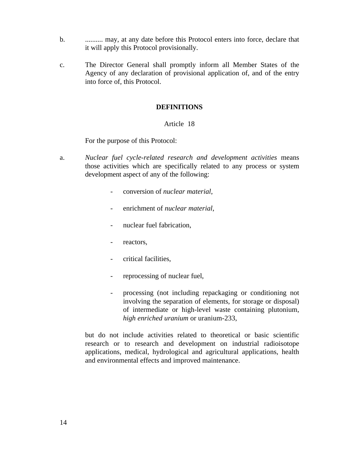- b. .......... may, at any date before this Protocol enters into force, declare that it will apply this Protocol provisionally.
- c. The Director General shall promptly inform all Member States of the Agency of any declaration of provisional application of, and of the entry into force of, this Protocol.

## **DEFINITIONS**

## Article 18

For the purpose of this Protocol:

- a. *Nuclear fuel cycle-related research and development activities* means those activities which are specifically related to any process or system development aspect of any of the following:
	- conversion of *nuclear material*,
	- enrichment of *nuclear material*,
	- nuclear fuel fabrication,
	- reactors,
	- critical facilities,
	- reprocessing of nuclear fuel,
	- processing (not including repackaging or conditioning not involving the separation of elements, for storage or disposal) of intermediate or high-level waste containing plutonium, *high enriched uranium* or uranium-233,

but do not include activities related to theoretical or basic scientific research or to research and development on industrial radioisotope applications, medical, hydrological and agricultural applications, health and environmental effects and improved maintenance.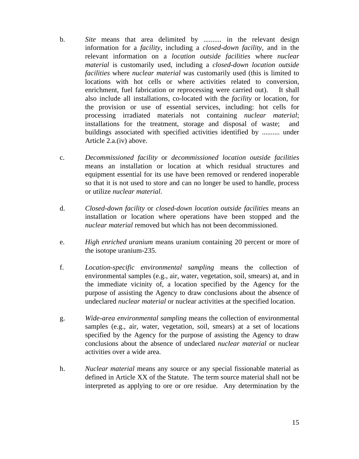- b. *Site* means that area delimited by .......... in the relevant design information for a *facility*, including a *closed-down facility*, and in the relevant information on a *location outside facilities* where *nuclear material* is customarily used, including a *closed-down location outside facilities* where *nuclear material* was customarily used (this is limited to locations with hot cells or where activities related to conversion, enrichment, fuel fabrication or reprocessing were carried out). It shall also include all installations, co-located with the *facility* or location, for the provision or use of essential services, including: hot cells for processing irradiated materials not containing *nuclear material*; installations for the treatment, storage and disposal of waste; and buildings associated with specified activities identified by .......... under Article 2.a.(iv) above.
- c. *Decommissioned facility* or *decommissioned location outside facilities* means an installation or location at which residual structures and equipment essential for its use have been removed or rendered inoperable so that it is not used to store and can no longer be used to handle, process or utilize *nuclear material*.
- d. *Closed-down facility* or *closed-down location outside facilities* means an installation or location where operations have been stopped and the *nuclear material* removed but which has not been decommissioned.
- e. *High enriched uranium* means uranium containing 20 percent or more of the isotope uranium-235.
- f. *Location-specific environmental sampling* means the collection of environmental samples (e.g., air, water, vegetation, soil, smears) at, and in the immediate vicinity of, a location specified by the Agency for the purpose of assisting the Agency to draw conclusions about the absence of undeclared *nuclear material* or nuclear activities at the specified location.
- g. *Wide-area environmental sampling* means the collection of environmental samples (e.g., air, water, vegetation, soil, smears) at a set of locations specified by the Agency for the purpose of assisting the Agency to draw conclusions about the absence of undeclared *nuclear material* or nuclear activities over a wide area.
- h. *Nuclear material* means any source or any special fissionable material as defined in Article XX of the Statute. The term source material shall not be interpreted as applying to ore or ore residue. Any determination by the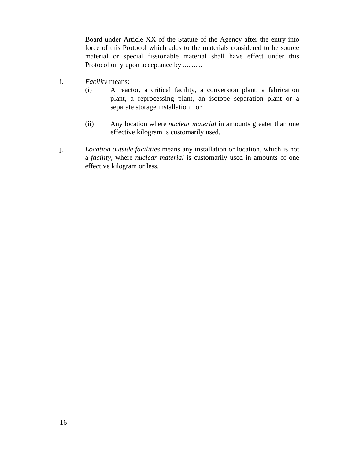Board under Article XX of the Statute of the Agency after the entry into force of this Protocol which adds to the materials considered to be source material or special fissionable material shall have effect under this Protocol only upon acceptance by ...........

- i. *Facility* means:
	- (i) A reactor, a critical facility, a conversion plant, a fabrication plant, a reprocessing plant, an isotope separation plant or a separate storage installation; or
	- (ii) Any location where *nuclear material* in amounts greater than one effective kilogram is customarily used.
- j. *Location outside facilities* means any installation or location, which is not a *facility*, where *nuclear material* is customarily used in amounts of one effective kilogram or less.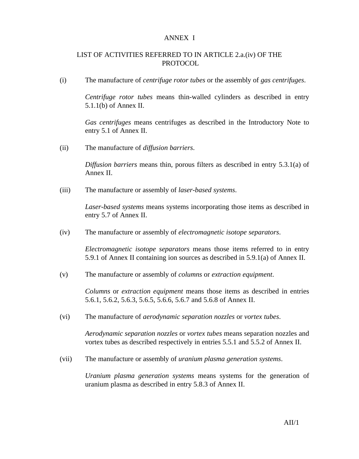#### ANNEX I

# LIST OF ACTIVITIES REFERRED TO IN ARTICLE 2.a.(iv) OF THE PROTOCOL.

(i) The manufacture of *centrifuge rotor tubes* or the assembly of *gas centrifuges*.

*Centrifuge rotor tubes* means thin-walled cylinders as described in entry 5.1.1(b) of Annex II.

*Gas centrifuges* means centrifuges as described in the Introductory Note to entry 5.1 of Annex II.

(ii) The manufacture of *diffusion barriers*.

*Diffusion barriers* means thin, porous filters as described in entry 5.3.1(a) of Annex II.

(iii) The manufacture or assembly of *laser-based systems*.

*Laser-based systems* means systems incorporating those items as described in entry 5.7 of Annex II.

(iv) The manufacture or assembly of *electromagnetic isotope separators*.

*Electromagnetic isotope separators* means those items referred to in entry 5.9.1 of Annex II containing ion sources as described in 5.9.1(a) of Annex II.

(v) The manufacture or assembly of *columns* or *extraction equipment*.

*Columns* or *extraction equipment* means those items as described in entries 5.6.1, 5.6.2, 5.6.3, 5.6.5, 5.6.6, 5.6.7 and 5.6.8 of Annex II.

(vi) The manufacture of *aerodynamic separation nozzles* or *vortex tubes*.

*Aerodynamic separation nozzles* or *vortex tubes* means separation nozzles and vortex tubes as described respectively in entries 5.5.1 and 5.5.2 of Annex II.

(vii) The manufacture or assembly of *uranium plasma generation systems*.

*Uranium plasma generation systems* means systems for the generation of uranium plasma as described in entry 5.8.3 of Annex II.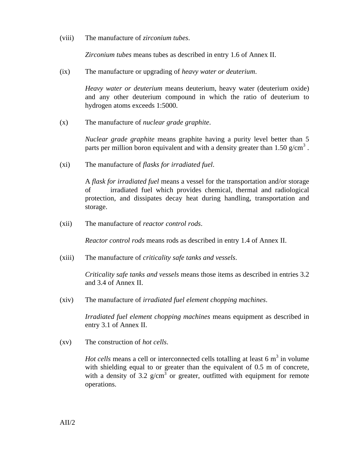(viii) The manufacture of *zirconium tubes*.

*Zirconium tubes* means tubes as described in entry 1.6 of Annex II.

(ix) The manufacture or upgrading of *heavy water or deuterium*.

*Heavy water or deuterium* means deuterium, heavy water (deuterium oxide) and any other deuterium compound in which the ratio of deuterium to hydrogen atoms exceeds 1:5000.

(x) The manufacture of *nuclear grade graphite*.

*Nuclear grade graphite* means graphite having a purity level better than 5 parts per million boron equivalent and with a density greater than  $1.50$  g/cm<sup>3</sup>.

(xi) The manufacture of *flasks for irradiated fuel*.

A *flask for irradiated fuel* means a vessel for the transportation and/or storage of irradiated fuel which provides chemical, thermal and radiological protection, and dissipates decay heat during handling, transportation and storage.

(xii) The manufacture of *reactor control rods*.

*Reactor control rods* means rods as described in entry 1.4 of Annex II.

(xiii) The manufacture of *criticality safe tanks and vessels*.

*Criticality safe tanks and vessels* means those items as described in entries 3.2 and 3.4 of Annex II.

(xiv) The manufacture of *irradiated fuel element chopping machines*.

*Irradiated fuel element chopping machines* means equipment as described in entry 3.1 of Annex II.

(xv) The construction of *hot cells*.

*Hot cells* means a cell or interconnected cells totalling at least  $6 \text{ m}^3$  in volume with shielding equal to or greater than the equivalent of 0.5 m of concrete, with a density of 3.2  $g/cm<sup>3</sup>$  or greater, outfitted with equipment for remote operations.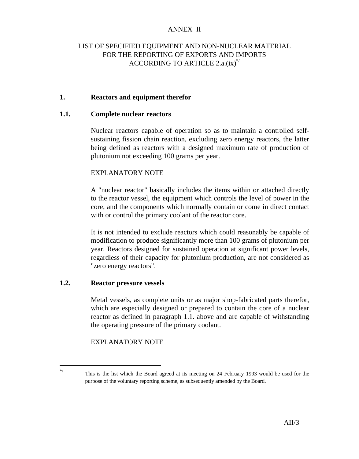#### ANNEX II

## LIST OF SPECIFIED EQUIPMENT AND NON-NUCLEAR MATERIAL FOR THE REPORTING OF EXPORTS AND IMPORTS ACCORDING TO ARTICLE 2.a. $(ix)^{2}$

#### **1. Reactors and equipment therefor**

#### **1.1. Complete nuclear reactors**

Nuclear reactors capable of operation so as to maintain a controlled selfsustaining fission chain reaction, excluding zero energy reactors, the latter being defined as reactors with a designed maximum rate of production of plutonium not exceeding 100 grams per year.

#### EXPLANATORY NOTE

A "nuclear reactor" basically includes the items within or attached directly to the reactor vessel, the equipment which controls the level of power in the core, and the components which normally contain or come in direct contact with or control the primary coolant of the reactor core.

It is not intended to exclude reactors which could reasonably be capable of modification to produce significantly more than 100 grams of plutonium per year. Reactors designed for sustained operation at significant power levels, regardless of their capacity for plutonium production, are not considered as "zero energy reactors".

#### **1.2. Reactor pressure vessels**

-\*/ Metal vessels, as complete units or as major shop-fabricated parts therefor, which are especially designed or prepared to contain the core of a nuclear reactor as defined in paragraph 1.1. above and are capable of withstanding the operating pressure of the primary coolant.

#### EXPLANATORY NOTE

This is the list which the Board agreed at its meeting on 24 February 1993 would be used for the purpose of the voluntary reporting scheme, as subsequently amended by the Board.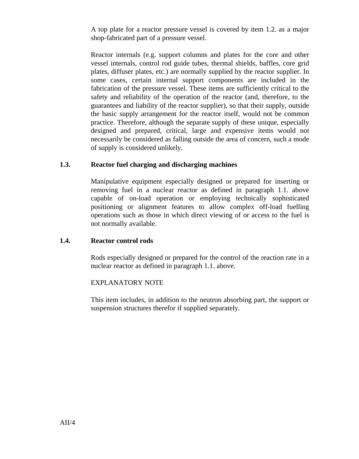A top plate for a reactor pressure vessel is covered by item 1.2. as a major shop-fabricated part of a pressure vessel.

Reactor internals (e.g. support columns and plates for the core and other vessel internals, control rod guide tubes, thermal shields, baffles, core grid plates, diffuser plates, etc.) are normally supplied by the reactor supplier. In some cases, certain internal support components are included in the fabrication of the pressure vessel. These items are sufficiently critical to the safety and reliability of the operation of the reactor (and, therefore, to the guarantees and liability of the reactor supplier), so that their supply, outside the basic supply arrangement for the reactor itself, would not be common practice. Therefore, although the separate supply of these unique, especially designed and prepared, critical, large and expensive items would not necessarily be considered as falling outside the area of concern, such a mode of supply is considered unlikely.

## **1.3. Reactor fuel charging and discharging machines**

Manipulative equipment especially designed or prepared for inserting or removing fuel in a nuclear reactor as defined in paragraph 1.1. above capable of on-load operation or employing technically sophisticated positioning or alignment features to allow complex off-load fuelling operations such as those in which direct viewing of or access to the fuel is not normally available.

## **1.4. Reactor control rods**

Rods especially designed or prepared for the control of the reaction rate in a nuclear reactor as defined in paragraph 1.1. above.

## EXPLANATORY NOTE

This item includes, in addition to the neutron absorbing part, the support or suspension structures therefor if supplied separately.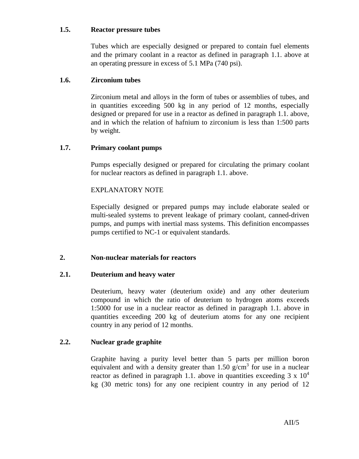#### **1.5. Reactor pressure tubes**

Tubes which are especially designed or prepared to contain fuel elements and the primary coolant in a reactor as defined in paragraph 1.1. above at an operating pressure in excess of 5.1 MPa (740 psi).

#### **1.6. Zirconium tubes**

Zirconium metal and alloys in the form of tubes or assemblies of tubes, and in quantities exceeding 500 kg in any period of 12 months, especially designed or prepared for use in a reactor as defined in paragraph 1.1. above, and in which the relation of hafnium to zirconium is less than 1:500 parts by weight.

#### **1.7. Primary coolant pumps**

Pumps especially designed or prepared for circulating the primary coolant for nuclear reactors as defined in paragraph 1.1. above.

## EXPLANATORY NOTE

Especially designed or prepared pumps may include elaborate sealed or multi-sealed systems to prevent leakage of primary coolant, canned-driven pumps, and pumps with inertial mass systems. This definition encompasses pumps certified to NC-1 or equivalent standards.

## **2. Non-nuclear materials for reactors**

## **2.1. Deuterium and heavy water**

Deuterium, heavy water (deuterium oxide) and any other deuterium compound in which the ratio of deuterium to hydrogen atoms exceeds 1:5000 for use in a nuclear reactor as defined in paragraph 1.1. above in quantities exceeding 200 kg of deuterium atoms for any one recipient country in any period of 12 months.

## **2.2. Nuclear grade graphite**

Graphite having a purity level better than 5 parts per million boron equivalent and with a density greater than  $1.50$  g/cm<sup>3</sup> for use in a nuclear reactor as defined in paragraph 1.1. above in quantities exceeding  $3 \times 10^4$ kg (30 metric tons) for any one recipient country in any period of 12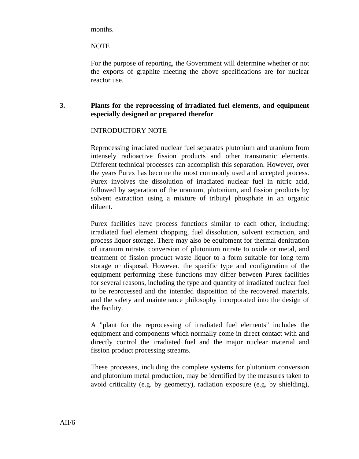months.

NOTE

For the purpose of reporting, the Government will determine whether or not the exports of graphite meeting the above specifications are for nuclear reactor use.

# **3. Plants for the reprocessing of irradiated fuel elements, and equipment especially designed or prepared therefor**

# INTRODUCTORY NOTE

Reprocessing irradiated nuclear fuel separates plutonium and uranium from intensely radioactive fission products and other transuranic elements. Different technical processes can accomplish this separation. However, over the years Purex has become the most commonly used and accepted process. Purex involves the dissolution of irradiated nuclear fuel in nitric acid, followed by separation of the uranium, plutonium, and fission products by solvent extraction using a mixture of tributyl phosphate in an organic diluent.

Purex facilities have process functions similar to each other, including: irradiated fuel element chopping, fuel dissolution, solvent extraction, and process liquor storage. There may also be equipment for thermal denitration of uranium nitrate, conversion of plutonium nitrate to oxide or metal, and treatment of fission product waste liquor to a form suitable for long term storage or disposal. However, the specific type and configuration of the equipment performing these functions may differ between Purex facilities for several reasons, including the type and quantity of irradiated nuclear fuel to be reprocessed and the intended disposition of the recovered materials, and the safety and maintenance philosophy incorporated into the design of the facility.

A "plant for the reprocessing of irradiated fuel elements" includes the equipment and components which normally come in direct contact with and directly control the irradiated fuel and the major nuclear material and fission product processing streams.

These processes, including the complete systems for plutonium conversion and plutonium metal production, may be identified by the measures taken to avoid criticality (e.g. by geometry), radiation exposure (e.g. by shielding),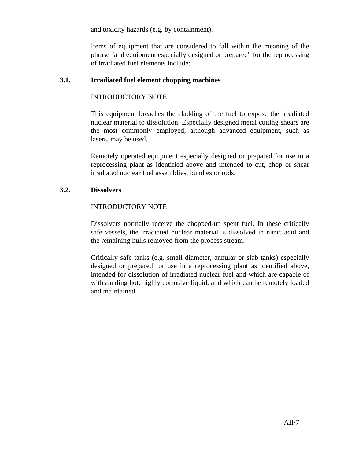and toxicity hazards (e.g. by containment).

Items of equipment that are considered to fall within the meaning of the phrase "and equipment especially designed or prepared" for the reprocessing of irradiated fuel elements include:

## **3.1. Irradiated fuel element chopping machines**

# INTRODUCTORY NOTE

This equipment breaches the cladding of the fuel to expose the irradiated nuclear material to dissolution. Especially designed metal cutting shears are the most commonly employed, although advanced equipment, such as lasers, may be used.

Remotely operated equipment especially designed or prepared for use in a reprocessing plant as identified above and intended to cut, chop or shear irradiated nuclear fuel assemblies, bundles or rods.

## **3.2. Dissolvers**

# INTRODUCTORY NOTE

Dissolvers normally receive the chopped-up spent fuel. In these critically safe vessels, the irradiated nuclear material is dissolved in nitric acid and the remaining hulls removed from the process stream.

Critically safe tanks (e.g. small diameter, annular or slab tanks) especially designed or prepared for use in a reprocessing plant as identified above, intended for dissolution of irradiated nuclear fuel and which are capable of withstanding hot, highly corrosive liquid, and which can be remotely loaded and maintained.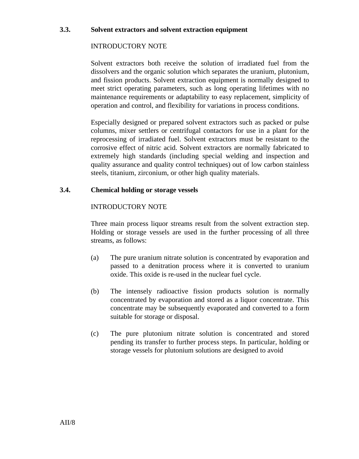#### **3.3. Solvent extractors and solvent extraction equipment**

#### INTRODUCTORY NOTE

Solvent extractors both receive the solution of irradiated fuel from the dissolvers and the organic solution which separates the uranium, plutonium, and fission products. Solvent extraction equipment is normally designed to meet strict operating parameters, such as long operating lifetimes with no maintenance requirements or adaptability to easy replacement, simplicity of operation and control, and flexibility for variations in process conditions.

Especially designed or prepared solvent extractors such as packed or pulse columns, mixer settlers or centrifugal contactors for use in a plant for the reprocessing of irradiated fuel. Solvent extractors must be resistant to the corrosive effect of nitric acid. Solvent extractors are normally fabricated to extremely high standards (including special welding and inspection and quality assurance and quality control techniques) out of low carbon stainless steels, titanium, zirconium, or other high quality materials.

#### **3.4. Chemical holding or storage vessels**

#### INTRODUCTORY NOTE

Three main process liquor streams result from the solvent extraction step. Holding or storage vessels are used in the further processing of all three streams, as follows:

- (a) The pure uranium nitrate solution is concentrated by evaporation and passed to a denitration process where it is converted to uranium oxide. This oxide is re-used in the nuclear fuel cycle.
- (b) The intensely radioactive fission products solution is normally concentrated by evaporation and stored as a liquor concentrate. This concentrate may be subsequently evaporated and converted to a form suitable for storage or disposal.
- (c) The pure plutonium nitrate solution is concentrated and stored pending its transfer to further process steps. In particular, holding or storage vessels for plutonium solutions are designed to avoid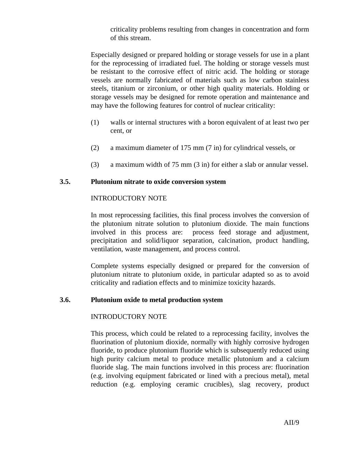criticality problems resulting from changes in concentration and form of this stream.

Especially designed or prepared holding or storage vessels for use in a plant for the reprocessing of irradiated fuel. The holding or storage vessels must be resistant to the corrosive effect of nitric acid. The holding or storage vessels are normally fabricated of materials such as low carbon stainless steels, titanium or zirconium, or other high quality materials. Holding or storage vessels may be designed for remote operation and maintenance and may have the following features for control of nuclear criticality:

- (1) walls or internal structures with a boron equivalent of at least two per cent, or
- (2) a maximum diameter of 175 mm (7 in) for cylindrical vessels, or
- (3) a maximum width of 75 mm (3 in) for either a slab or annular vessel.

## **3.5. Plutonium nitrate to oxide conversion system**

## INTRODUCTORY NOTE

In most reprocessing facilities, this final process involves the conversion of the plutonium nitrate solution to plutonium dioxide. The main functions involved in this process are: process feed storage and adjustment, precipitation and solid/liquor separation, calcination, product handling, ventilation, waste management, and process control.

Complete systems especially designed or prepared for the conversion of plutonium nitrate to plutonium oxide, in particular adapted so as to avoid criticality and radiation effects and to minimize toxicity hazards.

## **3.6. Plutonium oxide to metal production system**

## INTRODUCTORY NOTE

This process, which could be related to a reprocessing facility, involves the fluorination of plutonium dioxide, normally with highly corrosive hydrogen fluoride, to produce plutonium fluoride which is subsequently reduced using high purity calcium metal to produce metallic plutonium and a calcium fluoride slag. The main functions involved in this process are: fluorination (e.g. involving equipment fabricated or lined with a precious metal), metal reduction (e.g. employing ceramic crucibles), slag recovery, product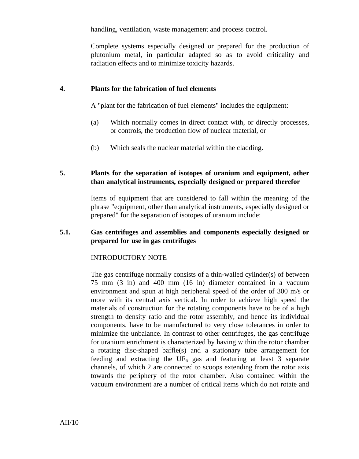handling, ventilation, waste management and process control.

Complete systems especially designed or prepared for the production of plutonium metal, in particular adapted so as to avoid criticality and radiation effects and to minimize toxicity hazards.

## **4. Plants for the fabrication of fuel elements**

A "plant for the fabrication of fuel elements" includes the equipment:

- (a) Which normally comes in direct contact with, or directly processes, or controls, the production flow of nuclear material, or
- (b) Which seals the nuclear material within the cladding.

## **5. Plants for the separation of isotopes of uranium and equipment, other than analytical instruments, especially designed or prepared therefor**

Items of equipment that are considered to fall within the meaning of the phrase "equipment, other than analytical instruments, especially designed or prepared" for the separation of isotopes of uranium include:

## **5.1. Gas centrifuges and assemblies and components especially designed or prepared for use in gas centrifuges**

# INTRODUCTORY NOTE

The gas centrifuge normally consists of a thin-walled cylinder(s) of between 75 mm (3 in) and 400 mm (16 in) diameter contained in a vacuum environment and spun at high peripheral speed of the order of 300 m/s or more with its central axis vertical. In order to achieve high speed the materials of construction for the rotating components have to be of a high strength to density ratio and the rotor assembly, and hence its individual components, have to be manufactured to very close tolerances in order to minimize the unbalance. In contrast to other centrifuges, the gas centrifuge for uranium enrichment is characterized by having within the rotor chamber a rotating disc-shaped baffle(s) and a stationary tube arrangement for feeding and extracting the  $UF_6$  gas and featuring at least 3 separate channels, of which 2 are connected to scoops extending from the rotor axis towards the periphery of the rotor chamber. Also contained within the vacuum environment are a number of critical items which do not rotate and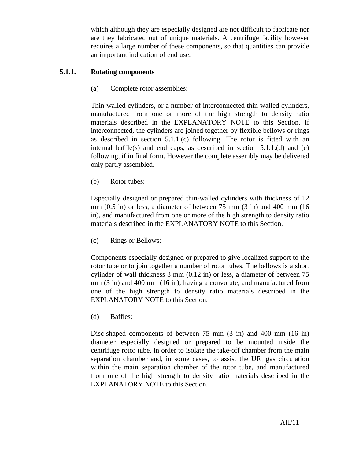which although they are especially designed are not difficult to fabricate nor are they fabricated out of unique materials. A centrifuge facility however requires a large number of these components, so that quantities can provide an important indication of end use.

## **5.1.1. Rotating components**

(a) Complete rotor assemblies:

Thin-walled cylinders, or a number of interconnected thin-walled cylinders, manufactured from one or more of the high strength to density ratio materials described in the EXPLANATORY NOTE to this Section. If interconnected, the cylinders are joined together by flexible bellows or rings as described in section 5.1.1.(c) following. The rotor is fitted with an internal baffle(s) and end caps, as described in section  $5.1.1$ .(d) and (e) following, if in final form. However the complete assembly may be delivered only partly assembled.

(b) Rotor tubes:

Especially designed or prepared thin-walled cylinders with thickness of 12 mm (0.5 in) or less, a diameter of between 75 mm (3 in) and 400 mm (16 in), and manufactured from one or more of the high strength to density ratio materials described in the EXPLANATORY NOTE to this Section.

(c) Rings or Bellows:

Components especially designed or prepared to give localized support to the rotor tube or to join together a number of rotor tubes. The bellows is a short cylinder of wall thickness 3 mm (0.12 in) or less, a diameter of between 75 mm (3 in) and 400 mm (16 in), having a convolute, and manufactured from one of the high strength to density ratio materials described in the EXPLANATORY NOTE to this Section.

(d) Baffles:

Disc-shaped components of between 75 mm (3 in) and 400 mm (16 in) diameter especially designed or prepared to be mounted inside the centrifuge rotor tube, in order to isolate the take-off chamber from the main separation chamber and, in some cases, to assist the  $UF<sub>6</sub>$  gas circulation within the main separation chamber of the rotor tube, and manufactured from one of the high strength to density ratio materials described in the EXPLANATORY NOTE to this Section.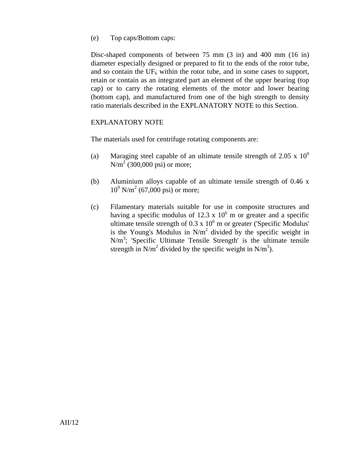(e) Top caps/Bottom caps:

Disc-shaped components of between 75 mm (3 in) and 400 mm (16 in) diameter especially designed or prepared to fit to the ends of the rotor tube, and so contain the  $UF_6$  within the rotor tube, and in some cases to support, retain or contain as an integrated part an element of the upper bearing (top cap) or to carry the rotating elements of the motor and lower bearing (bottom cap), and manufactured from one of the high strength to density ratio materials described in the EXPLANATORY NOTE to this Section.

## EXPLANATORY NOTE

The materials used for centrifuge rotating components are:

- (a) Maraging steel capable of an ultimate tensile strength of 2.05 x  $10^9$  $N/m^2$  (300,000 psi) or more;
- (b) Aluminium alloys capable of an ultimate tensile strength of 0.46 x  $10^{9}$  N/m<sup>2</sup> (67,000 psi) or more;
- (c) Filamentary materials suitable for use in composite structures and having a specific modulus of 12.3 x  $10^6$  m or greater and a specific ultimate tensile strength of  $0.3 \times 10^6$  m or greater ('Specific Modulus' is the Young's Modulus in  $N/m^2$  divided by the specific weight in  $N/m<sup>3</sup>$ ; 'Specific Ultimate Tensile Strength' is the ultimate tensile strength in N/m<sup>2</sup> divided by the specific weight in N/m<sup>3</sup>).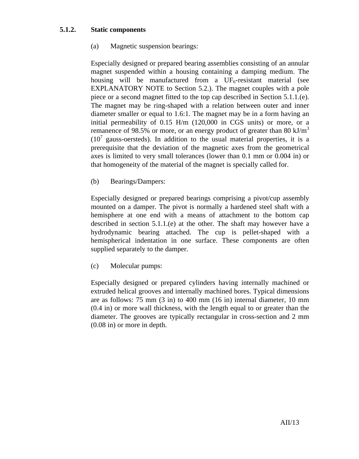#### **5.1.2. Static components**

#### (a) Magnetic suspension bearings:

Especially designed or prepared bearing assemblies consisting of an annular magnet suspended within a housing containing a damping medium. The housing will be manufactured from a  $UF<sub>6</sub>$ -resistant material (see EXPLANATORY NOTE to Section 5.2.). The magnet couples with a pole piece or a second magnet fitted to the top cap described in Section 5.1.1.(e). The magnet may be ring-shaped with a relation between outer and inner diameter smaller or equal to 1.6:1. The magnet may be in a form having an initial permeability of 0.15 H/m (120,000 in CGS units) or more, or a remanence of 98.5% or more, or an energy product of greater than 80 kJ/ $m<sup>3</sup>$  $(10<sup>7</sup>$  gauss-oersteds). In addition to the usual material properties, it is a prerequisite that the deviation of the magnetic axes from the geometrical axes is limited to very small tolerances (lower than 0.1 mm or 0.004 in) or that homogeneity of the material of the magnet is specially called for.

(b) Bearings/Dampers:

Especially designed or prepared bearings comprising a pivot/cup assembly mounted on a damper. The pivot is normally a hardened steel shaft with a hemisphere at one end with a means of attachment to the bottom cap described in section 5.1.1.(e) at the other. The shaft may however have a hydrodynamic bearing attached. The cup is pellet-shaped with a hemispherical indentation in one surface. These components are often supplied separately to the damper.

(c) Molecular pumps:

Especially designed or prepared cylinders having internally machined or extruded helical grooves and internally machined bores. Typical dimensions are as follows: 75 mm (3 in) to 400 mm (16 in) internal diameter, 10 mm (0.4 in) or more wall thickness, with the length equal to or greater than the diameter. The grooves are typically rectangular in cross-section and 2 mm (0.08 in) or more in depth.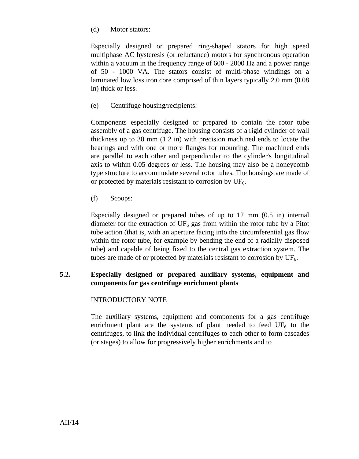(d) Motor stators:

Especially designed or prepared ring-shaped stators for high speed multiphase AC hysteresis (or reluctance) motors for synchronous operation within a vacuum in the frequency range of 600 - 2000 Hz and a power range of 50 - 1000 VA. The stators consist of multi-phase windings on a laminated low loss iron core comprised of thin layers typically 2.0 mm (0.08 in) thick or less.

(e) Centrifuge housing/recipients:

Components especially designed or prepared to contain the rotor tube assembly of a gas centrifuge. The housing consists of a rigid cylinder of wall thickness up to 30 mm (1.2 in) with precision machined ends to locate the bearings and with one or more flanges for mounting. The machined ends are parallel to each other and perpendicular to the cylinder's longitudinal axis to within 0.05 degrees or less. The housing may also be a honeycomb type structure to accommodate several rotor tubes. The housings are made of or protected by materials resistant to corrosion by  $UF_6$ .

(f) Scoops:

Especially designed or prepared tubes of up to 12 mm (0.5 in) internal diameter for the extraction of  $UF_6$  gas from within the rotor tube by a Pitot tube action (that is, with an aperture facing into the circumferential gas flow within the rotor tube, for example by bending the end of a radially disposed tube) and capable of being fixed to the central gas extraction system. The tubes are made of or protected by materials resistant to corrosion by  $UF<sub>6</sub>$ .

# **5.2. Especially designed or prepared auxiliary systems, equipment and components for gas centrifuge enrichment plants**

## INTRODUCTORY NOTE

The auxiliary systems, equipment and components for a gas centrifuge enrichment plant are the systems of plant needed to feed  $UF<sub>6</sub>$  to the centrifuges, to link the individual centrifuges to each other to form cascades (or stages) to allow for progressively higher enrichments and to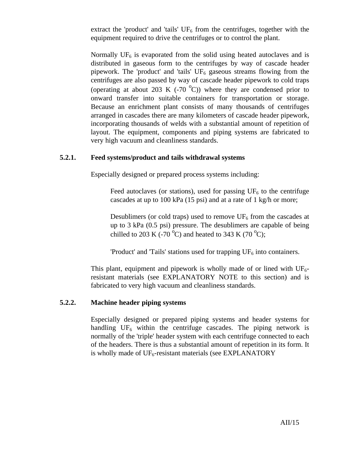extract the 'product' and 'tails'  $UF_6$  from the centrifuges, together with the equipment required to drive the centrifuges or to control the plant.

Normally  $UF<sub>6</sub>$  is evaporated from the solid using heated autoclaves and is distributed in gaseous form to the centrifuges by way of cascade header pipework. The 'product' and 'tails'  $UF_6$  gaseous streams flowing from the centrifuges are also passed by way of cascade header pipework to cold traps (operating at about 203 K  $(-70<sup>o</sup>C)$ ) where they are condensed prior to onward transfer into suitable containers for transportation or storage. Because an enrichment plant consists of many thousands of centrifuges arranged in cascades there are many kilometers of cascade header pipework, incorporating thousands of welds with a substantial amount of repetition of layout. The equipment, components and piping systems are fabricated to very high vacuum and cleanliness standards.

#### **5.2.1. Feed systems/product and tails withdrawal systems**

Especially designed or prepared process systems including:

Feed autoclaves (or stations), used for passing  $UF_6$  to the centrifuge cascades at up to 100 kPa (15 psi) and at a rate of 1 kg/h or more;

Desublimers (or cold traps) used to remove  $UF_6$  from the cascades at up to 3 kPa (0.5 psi) pressure. The desublimers are capable of being chilled to 203 K (-70  $^{\circ}$ C) and heated to 343 K (70  $^{\circ}$ C);

'Product' and 'Tails' stations used for trapping  $UF<sub>6</sub>$  into containers.

This plant, equipment and pipework is wholly made of or lined with  $UF_6$ resistant materials (see EXPLANATORY NOTE to this section) and is fabricated to very high vacuum and cleanliness standards.

## **5.2.2. Machine header piping systems**

Especially designed or prepared piping systems and header systems for handling  $UF_6$  within the centrifuge cascades. The piping network is normally of the 'triple' header system with each centrifuge connected to each of the headers. There is thus a substantial amount of repetition in its form. It is wholly made of  $UF_6$ -resistant materials (see EXPLANATORY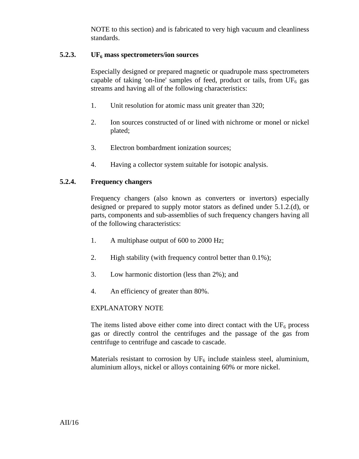NOTE to this section) and is fabricated to very high vacuum and cleanliness standards.

## **5.2.3. UF6 mass spectrometers/ion sources**

Especially designed or prepared magnetic or quadrupole mass spectrometers capable of taking 'on-line' samples of feed, product or tails, from  $UF_6$  gas streams and having all of the following characteristics:

- 1. Unit resolution for atomic mass unit greater than 320;
- 2. Ion sources constructed of or lined with nichrome or monel or nickel plated;
- 3. Electron bombardment ionization sources;
- 4. Having a collector system suitable for isotopic analysis.

# **5.2.4. Frequency changers**

Frequency changers (also known as converters or invertors) especially designed or prepared to supply motor stators as defined under 5.1.2.(d), or parts, components and sub-assemblies of such frequency changers having all of the following characteristics:

- 1. A multiphase output of 600 to 2000 Hz;
- 2. High stability (with frequency control better than 0.1%);
- 3. Low harmonic distortion (less than 2%); and
- 4. An efficiency of greater than 80%.

## EXPLANATORY NOTE

The items listed above either come into direct contact with the  $UF_6$  process gas or directly control the centrifuges and the passage of the gas from centrifuge to centrifuge and cascade to cascade.

Materials resistant to corrosion by  $UF_6$  include stainless steel, aluminium, aluminium alloys, nickel or alloys containing 60% or more nickel.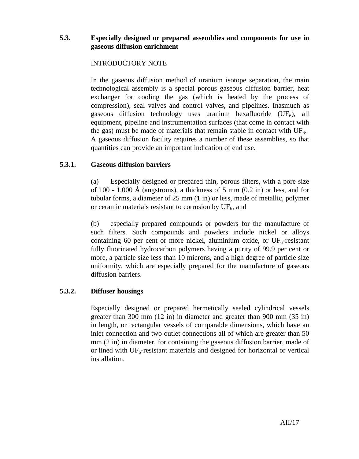## **5.3. Especially designed or prepared assemblies and components for use in gaseous diffusion enrichment**

#### INTRODUCTORY NOTE

In the gaseous diffusion method of uranium isotope separation, the main technological assembly is a special porous gaseous diffusion barrier, heat exchanger for cooling the gas (which is heated by the process of compression), seal valves and control valves, and pipelines. Inasmuch as gaseous diffusion technology uses uranium hexafluoride  $(UF_6)$ , all equipment, pipeline and instrumentation surfaces (that come in contact with the gas) must be made of materials that remain stable in contact with  $UF<sub>6</sub>$ . A gaseous diffusion facility requires a number of these assemblies, so that quantities can provide an important indication of end use.

#### **5.3.1. Gaseous diffusion barriers**

(a) Especially designed or prepared thin, porous filters, with a pore size of 100 - 1,000 Å (angstroms), a thickness of 5 mm  $(0.2 \text{ in})$  or less, and for tubular forms, a diameter of 25 mm (1 in) or less, made of metallic, polymer or ceramic materials resistant to corrosion by  $UF_6$ , and

(b) especially prepared compounds or powders for the manufacture of such filters. Such compounds and powders include nickel or alloys containing 60 per cent or more nickel, aluminium oxide, or  $UF<sub>6</sub>$ -resistant fully fluorinated hydrocarbon polymers having a purity of 99.9 per cent or more, a particle size less than 10 microns, and a high degree of particle size uniformity, which are especially prepared for the manufacture of gaseous diffusion barriers.

## **5.3.2. Diffuser housings**

Especially designed or prepared hermetically sealed cylindrical vessels greater than 300 mm (12 in) in diameter and greater than 900 mm (35 in) in length, or rectangular vessels of comparable dimensions, which have an inlet connection and two outlet connections all of which are greater than 50 mm (2 in) in diameter, for containing the gaseous diffusion barrier, made of or lined with  $UF_6$ -resistant materials and designed for horizontal or vertical installation.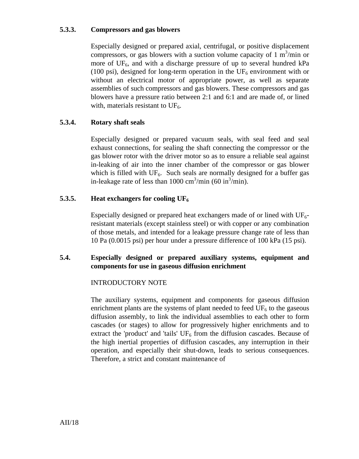#### **5.3.3. Compressors and gas blowers**

Especially designed or prepared axial, centrifugal, or positive displacement compressors, or gas blowers with a suction volume capacity of  $1 \text{ m}^3/\text{min}$  or more of  $UF_6$ , and with a discharge pressure of up to several hundred kPa (100 psi), designed for long-term operation in the  $UF_6$  environment with or without an electrical motor of appropriate power, as well as separate assemblies of such compressors and gas blowers. These compressors and gas blowers have a pressure ratio between 2:1 and 6:1 and are made of, or lined with, materials resistant to  $UF_6$ .

## **5.3.4. Rotary shaft seals**

Especially designed or prepared vacuum seals, with seal feed and seal exhaust connections, for sealing the shaft connecting the compressor or the gas blower rotor with the driver motor so as to ensure a reliable seal against in-leaking of air into the inner chamber of the compressor or gas blower which is filled with  $UF_6$ . Such seals are normally designed for a buffer gas in-leakage rate of less than 1000 cm<sup>3</sup>/min (60 in<sup>3</sup>/min).

# **5.3.5. Heat exchangers for cooling UF<sup>6</sup>**

Especially designed or prepared heat exchangers made of or lined with  $UF<sub>6</sub>$ resistant materials (except stainless steel) or with copper or any combination of those metals, and intended for a leakage pressure change rate of less than 10 Pa (0.0015 psi) per hour under a pressure difference of 100 kPa (15 psi).

## **5.4. Especially designed or prepared auxiliary systems, equipment and components for use in gaseous diffusion enrichment**

## INTRODUCTORY NOTE

The auxiliary systems, equipment and components for gaseous diffusion enrichment plants are the systems of plant needed to feed  $UF<sub>6</sub>$  to the gaseous diffusion assembly, to link the individual assemblies to each other to form cascades (or stages) to allow for progressively higher enrichments and to extract the 'product' and 'tails'  $UF_6$  from the diffusion cascades. Because of the high inertial properties of diffusion cascades, any interruption in their operation, and especially their shut-down, leads to serious consequences. Therefore, a strict and constant maintenance of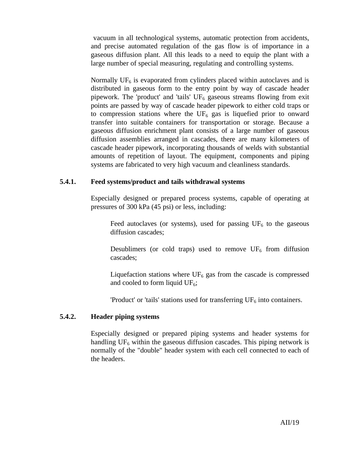vacuum in all technological systems, automatic protection from accidents, and precise automated regulation of the gas flow is of importance in a gaseous diffusion plant. All this leads to a need to equip the plant with a large number of special measuring, regulating and controlling systems.

Normally  $UF_6$  is evaporated from cylinders placed within autoclaves and is distributed in gaseous form to the entry point by way of cascade header pipework. The 'product' and 'tails'  $UF_6$  gaseous streams flowing from exit points are passed by way of cascade header pipework to either cold traps or to compression stations where the UF<sub>6</sub> gas is liquefied prior to onward transfer into suitable containers for transportation or storage. Because a gaseous diffusion enrichment plant consists of a large number of gaseous diffusion assemblies arranged in cascades, there are many kilometers of cascade header pipework, incorporating thousands of welds with substantial amounts of repetition of layout. The equipment, components and piping systems are fabricated to very high vacuum and cleanliness standards.

#### **5.4.1. Feed systems/product and tails withdrawal systems**

Especially designed or prepared process systems, capable of operating at pressures of 300 kPa (45 psi) or less, including:

Feed autoclaves (or systems), used for passing  $UF<sub>6</sub>$  to the gaseous diffusion cascades;

Desublimers (or cold traps) used to remove  $UF_6$  from diffusion cascades;

Liquefaction stations where  $UF_6$  gas from the cascade is compressed and cooled to form liquid  $UF_6$ ;

'Product' or 'tails' stations used for transferring  $UF_6$  into containers.

## **5.4.2. Header piping systems**

Especially designed or prepared piping systems and header systems for handling  $UF_6$  within the gaseous diffusion cascades. This piping network is normally of the "double" header system with each cell connected to each of the headers.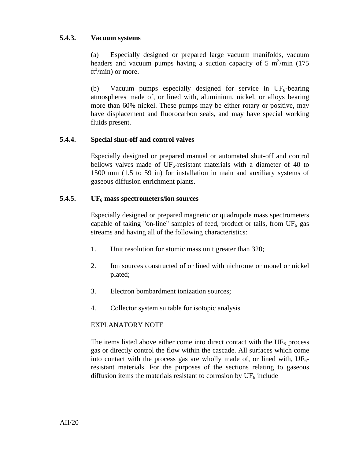## **5.4.3. Vacuum systems**

(a) Especially designed or prepared large vacuum manifolds, vacuum headers and vacuum pumps having a suction capacity of 5  $m^3/m$ in (175  $ft^3/min$  or more.

(b) Vacuum pumps especially designed for service in  $UF<sub>6</sub>$ -bearing atmospheres made of, or lined with, aluminium, nickel, or alloys bearing more than 60% nickel. These pumps may be either rotary or positive, may have displacement and fluorocarbon seals, and may have special working fluids present.

## **5.4.4. Special shut-off and control valves**

Especially designed or prepared manual or automated shut-off and control bellows valves made of  $UF<sub>6</sub>$ -resistant materials with a diameter of 40 to 1500 mm (1.5 to 59 in) for installation in main and auxiliary systems of gaseous diffusion enrichment plants.

## **5.4.5. UF6 mass spectrometers/ion sources**

Especially designed or prepared magnetic or quadrupole mass spectrometers capable of taking "on-line" samples of feed, product or tails, from  $UF<sub>6</sub>$  gas streams and having all of the following characteristics:

- 1. Unit resolution for atomic mass unit greater than 320;
- 2. Ion sources constructed of or lined with nichrome or monel or nickel plated;
- 3. Electron bombardment ionization sources;
- 4. Collector system suitable for isotopic analysis.

## EXPLANATORY NOTE

The items listed above either come into direct contact with the  $UF_6$  process gas or directly control the flow within the cascade. All surfaces which come into contact with the process gas are wholly made of, or lined with,  $UF<sub>6</sub>$ resistant materials. For the purposes of the sections relating to gaseous diffusion items the materials resistant to corrosion by  $UF_6$  include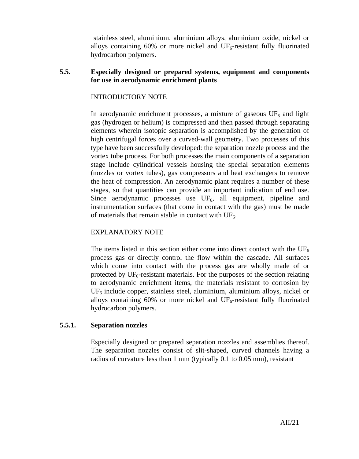stainless steel, aluminium, aluminium alloys, aluminium oxide, nickel or alloys containing  $60\%$  or more nickel and UF<sub>6</sub>-resistant fully fluorinated hydrocarbon polymers.

## **5.5. Especially designed or prepared systems, equipment and components for use in aerodynamic enrichment plants**

## INTRODUCTORY NOTE

In aerodynamic enrichment processes, a mixture of gaseous  $UF<sub>6</sub>$  and light gas (hydrogen or helium) is compressed and then passed through separating elements wherein isotopic separation is accomplished by the generation of high centrifugal forces over a curved-wall geometry. Two processes of this type have been successfully developed: the separation nozzle process and the vortex tube process. For both processes the main components of a separation stage include cylindrical vessels housing the special separation elements (nozzles or vortex tubes), gas compressors and heat exchangers to remove the heat of compression. An aerodynamic plant requires a number of these stages, so that quantities can provide an important indication of end use. Since aerodynamic processes use  $UF_6$ , all equipment, pipeline and instrumentation surfaces (that come in contact with the gas) must be made of materials that remain stable in contact with  $UF<sub>6</sub>$ .

## EXPLANATORY NOTE

The items listed in this section either come into direct contact with the  $UF<sub>6</sub>$ process gas or directly control the flow within the cascade. All surfaces which come into contact with the process gas are wholly made of or protected by  $UF<sub>6</sub>$ -resistant materials. For the purposes of the section relating to aerodynamic enrichment items, the materials resistant to corrosion by  $UF<sub>6</sub>$  include copper, stainless steel, aluminium, aluminium alloys, nickel or alloys containing 60% or more nickel and  $UF<sub>6</sub>$ -resistant fully fluorinated hydrocarbon polymers.

## **5.5.1. Separation nozzles**

Especially designed or prepared separation nozzles and assemblies thereof. The separation nozzles consist of slit-shaped, curved channels having a radius of curvature less than 1 mm (typically 0.1 to 0.05 mm), resistant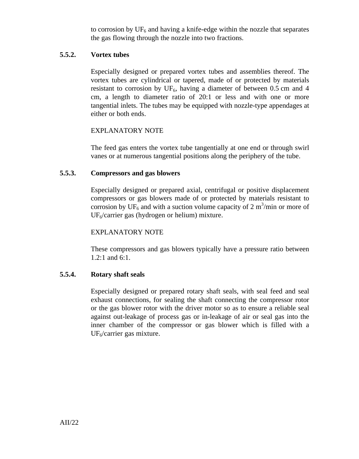to corrosion by  $UF_6$  and having a knife-edge within the nozzle that separates the gas flowing through the nozzle into two fractions.

# **5.5.2. Vortex tubes**

Especially designed or prepared vortex tubes and assemblies thereof. The vortex tubes are cylindrical or tapered, made of or protected by materials resistant to corrosion by  $UF_6$ , having a diameter of between 0.5 cm and 4 cm, a length to diameter ratio of 20:1 or less and with one or more tangential inlets. The tubes may be equipped with nozzle-type appendages at either or both ends.

# EXPLANATORY NOTE

The feed gas enters the vortex tube tangentially at one end or through swirl vanes or at numerous tangential positions along the periphery of the tube.

## **5.5.3. Compressors and gas blowers**

Especially designed or prepared axial, centrifugal or positive displacement compressors or gas blowers made of or protected by materials resistant to corrosion by UF<sub>6</sub> and with a suction volume capacity of 2 m<sup>3</sup>/min or more of  $UF<sub>6</sub>/\ncarrier gas$  (hydrogen or helium) mixture.

## EXPLANATORY NOTE

These compressors and gas blowers typically have a pressure ratio between 1.2:1 and 6:1.

## **5.5.4. Rotary shaft seals**

Especially designed or prepared rotary shaft seals, with seal feed and seal exhaust connections, for sealing the shaft connecting the compressor rotor or the gas blower rotor with the driver motor so as to ensure a reliable seal against out-leakage of process gas or in-leakage of air or seal gas into the inner chamber of the compressor or gas blower which is filled with a  $UF<sub>6</sub>/\ncarrier gas mixture.$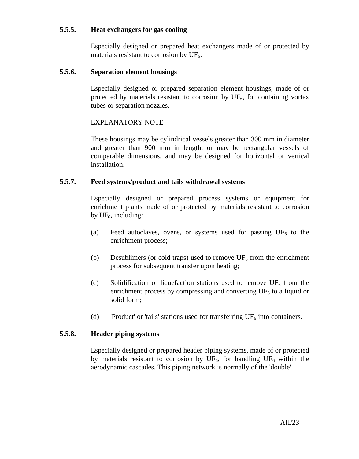#### **5.5.5. Heat exchangers for gas cooling**

Especially designed or prepared heat exchangers made of or protected by materials resistant to corrosion by  $UF<sub>6</sub>$ .

#### **5.5.6. Separation element housings**

Especially designed or prepared separation element housings, made of or protected by materials resistant to corrosion by  $UF_6$ , for containing vortex tubes or separation nozzles.

## EXPLANATORY NOTE

These housings may be cylindrical vessels greater than 300 mm in diameter and greater than 900 mm in length, or may be rectangular vessels of comparable dimensions, and may be designed for horizontal or vertical installation.

#### **5.5.7. Feed systems/product and tails withdrawal systems**

Especially designed or prepared process systems or equipment for enrichment plants made of or protected by materials resistant to corrosion by  $UF_6$ , including:

- (a) Feed autoclaves, ovens, or systems used for passing  $UF<sub>6</sub>$  to the enrichment process;
- (b) Desublimers (or cold traps) used to remove  $UF<sub>6</sub>$  from the enrichment process for subsequent transfer upon heating;
- (c) Solidification or liquefaction stations used to remove  $UF_6$  from the enrichment process by compressing and converting  $UF<sub>6</sub>$  to a liquid or solid form;
- (d) 'Product' or 'tails' stations used for transferring  $UF_6$  into containers.

## **5.5.8. Header piping systems**

Especially designed or prepared header piping systems, made of or protected by materials resistant to corrosion by  $UF_6$ , for handling  $UF_6$  within the aerodynamic cascades. This piping network is normally of the 'double'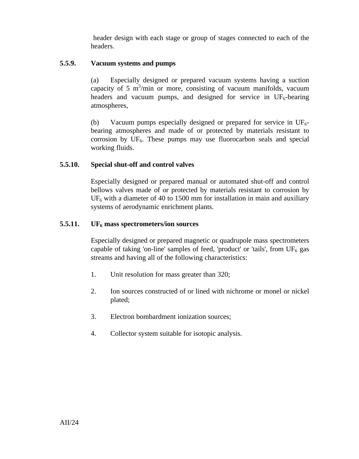header design with each stage or group of stages connected to each of the headers.

## **5.5.9. Vacuum systems and pumps**

(a) Especially designed or prepared vacuum systems having a suction capacity of 5 m<sup>3</sup>/min or more, consisting of vacuum manifolds, vacuum headers and vacuum pumps, and designed for service in  $UF<sub>6</sub>$ -bearing atmospheres,

(b) Vacuum pumps especially designed or prepared for service in  $UF<sub>6</sub>$ bearing atmospheres and made of or protected by materials resistant to corrosion by  $UF_6$ . These pumps may use fluorocarbon seals and special working fluids.

# **5.5.10. Special shut-off and control valves**

Especially designed or prepared manual or automated shut-off and control bellows valves made of or protected by materials resistant to corrosion by  $UF<sub>6</sub>$  with a diameter of 40 to 1500 mm for installation in main and auxiliary systems of aerodynamic enrichment plants.

## **5.5.11. UF6 mass spectrometers/ion sources**

Especially designed or prepared magnetic or quadrupole mass spectrometers capable of taking 'on-line' samples of feed, 'product' or 'tails', from  $UF_6$  gas streams and having all of the following characteristics:

- 1. Unit resolution for mass greater than 320;
- 2. Ion sources constructed of or lined with nichrome or monel or nickel plated;
- 3. Electron bombardment ionization sources;
- 4. Collector system suitable for isotopic analysis.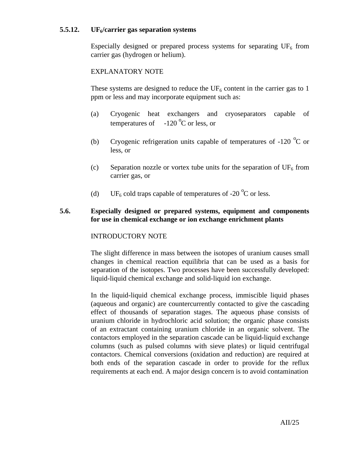#### **5.5.12. UF6/carrier gas separation systems**

Especially designed or prepared process systems for separating  $UF_6$  from carrier gas (hydrogen or helium).

#### EXPLANATORY NOTE

These systems are designed to reduce the  $UF<sub>6</sub>$  content in the carrier gas to 1 ppm or less and may incorporate equipment such as:

- (a) Cryogenic heat exchangers and cryoseparators capable of temperatures of  $-120\text{ °C}$  or less, or
- (b) Cryogenic refrigeration units capable of temperatures of -120  $^{\circ}$ C or less, or
- (c) Separation nozzle or vortex tube units for the separation of  $UF_6$  from carrier gas, or
- (d) UF<sub>6</sub> cold traps capable of temperatures of -20  $^{\circ}$ C or less.

## **5.6. Especially designed or prepared systems, equipment and components for use in chemical exchange or ion exchange enrichment plants**

#### INTRODUCTORY NOTE

The slight difference in mass between the isotopes of uranium causes small changes in chemical reaction equilibria that can be used as a basis for separation of the isotopes. Two processes have been successfully developed: liquid-liquid chemical exchange and solid-liquid ion exchange.

In the liquid-liquid chemical exchange process, immiscible liquid phases (aqueous and organic) are countercurrently contacted to give the cascading effect of thousands of separation stages. The aqueous phase consists of uranium chloride in hydrochloric acid solution; the organic phase consists of an extractant containing uranium chloride in an organic solvent. The contactors employed in the separation cascade can be liquid-liquid exchange columns (such as pulsed columns with sieve plates) or liquid centrifugal contactors. Chemical conversions (oxidation and reduction) are required at both ends of the separation cascade in order to provide for the reflux requirements at each end. A major design concern is to avoid contamination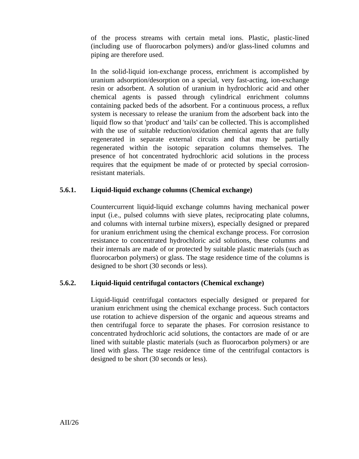of the process streams with certain metal ions. Plastic, plastic-lined (including use of fluorocarbon polymers) and/or glass-lined columns and piping are therefore used.

In the solid-liquid ion-exchange process, enrichment is accomplished by uranium adsorption/desorption on a special, very fast-acting, ion-exchange resin or adsorbent. A solution of uranium in hydrochloric acid and other chemical agents is passed through cylindrical enrichment columns containing packed beds of the adsorbent. For a continuous process, a reflux system is necessary to release the uranium from the adsorbent back into the liquid flow so that 'product' and 'tails' can be collected. This is accomplished with the use of suitable reduction/oxidation chemical agents that are fully regenerated in separate external circuits and that may be partially regenerated within the isotopic separation columns themselves. The presence of hot concentrated hydrochloric acid solutions in the process requires that the equipment be made of or protected by special corrosionresistant materials.

## **5.6.1. Liquid-liquid exchange columns (Chemical exchange)**

Countercurrent liquid-liquid exchange columns having mechanical power input (i.e., pulsed columns with sieve plates, reciprocating plate columns, and columns with internal turbine mixers), especially designed or prepared for uranium enrichment using the chemical exchange process. For corrosion resistance to concentrated hydrochloric acid solutions, these columns and their internals are made of or protected by suitable plastic materials (such as fluorocarbon polymers) or glass. The stage residence time of the columns is designed to be short (30 seconds or less).

## **5.6.2. Liquid-liquid centrifugal contactors (Chemical exchange)**

Liquid-liquid centrifugal contactors especially designed or prepared for uranium enrichment using the chemical exchange process. Such contactors use rotation to achieve dispersion of the organic and aqueous streams and then centrifugal force to separate the phases. For corrosion resistance to concentrated hydrochloric acid solutions, the contactors are made of or are lined with suitable plastic materials (such as fluorocarbon polymers) or are lined with glass. The stage residence time of the centrifugal contactors is designed to be short (30 seconds or less).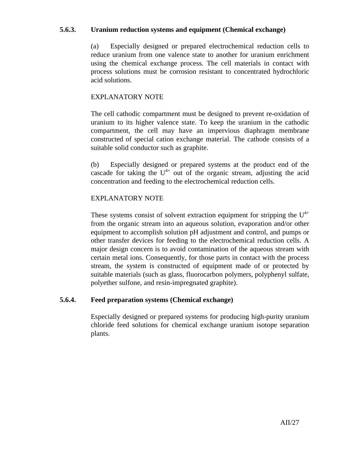#### **5.6.3. Uranium reduction systems and equipment (Chemical exchange)**

(a) Especially designed or prepared electrochemical reduction cells to reduce uranium from one valence state to another for uranium enrichment using the chemical exchange process. The cell materials in contact with process solutions must be corrosion resistant to concentrated hydrochloric acid solutions.

## EXPLANATORY NOTE

The cell cathodic compartment must be designed to prevent re-oxidation of uranium to its higher valence state. To keep the uranium in the cathodic compartment, the cell may have an impervious diaphragm membrane constructed of special cation exchange material. The cathode consists of a suitable solid conductor such as graphite.

(b) Especially designed or prepared systems at the product end of the cascade for taking the  $U^{4+}$  out of the organic stream, adjusting the acid concentration and feeding to the electrochemical reduction cells.

# EXPLANATORY NOTE

These systems consist of solvent extraction equipment for stripping the  $U^{4+}$ from the organic stream into an aqueous solution, evaporation and/or other equipment to accomplish solution pH adjustment and control, and pumps or other transfer devices for feeding to the electrochemical reduction cells. A major design concern is to avoid contamination of the aqueous stream with certain metal ions. Consequently, for those parts in contact with the process stream, the system is constructed of equipment made of or protected by suitable materials (such as glass, fluorocarbon polymers, polyphenyl sulfate, polyether sulfone, and resin-impregnated graphite).

## **5.6.4. Feed preparation systems (Chemical exchange)**

Especially designed or prepared systems for producing high-purity uranium chloride feed solutions for chemical exchange uranium isotope separation plants.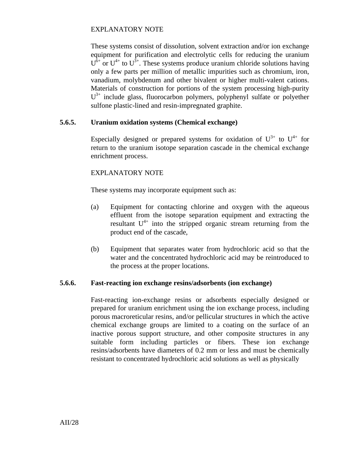## EXPLANATORY NOTE

These systems consist of dissolution, solvent extraction and/or ion exchange equipment for purification and electrolytic cells for reducing the uranium  $U^{6+}$  or  $U^{4+}$  to  $U^{3+}$ . These systems produce uranium chloride solutions having only a few parts per million of metallic impurities such as chromium, iron, vanadium, molybdenum and other bivalent or higher multi-valent cations. Materials of construction for portions of the system processing high-purity U<sup>3+</sup> include glass, fluorocarbon polymers, polyphenyl sulfate or polyether sulfone plastic-lined and resin-impregnated graphite.

## **5.6.5. Uranium oxidation systems (Chemical exchange)**

Especially designed or prepared systems for oxidation of  $U^{3+}$  to  $U^{4+}$  for return to the uranium isotope separation cascade in the chemical exchange enrichment process.

## EXPLANATORY NOTE

These systems may incorporate equipment such as:

- (a) Equipment for contacting chlorine and oxygen with the aqueous effluent from the isotope separation equipment and extracting the resultant  $U^{4+}$  into the stripped organic stream returning from the product end of the cascade,
- (b) Equipment that separates water from hydrochloric acid so that the water and the concentrated hydrochloric acid may be reintroduced to the process at the proper locations.

## **5.6.6. Fast-reacting ion exchange resins/adsorbents (ion exchange)**

Fast-reacting ion-exchange resins or adsorbents especially designed or prepared for uranium enrichment using the ion exchange process, including porous macroreticular resins, and/or pellicular structures in which the active chemical exchange groups are limited to a coating on the surface of an inactive porous support structure, and other composite structures in any suitable form including particles or fibers. These ion exchange resins/adsorbents have diameters of 0.2 mm or less and must be chemically resistant to concentrated hydrochloric acid solutions as well as physically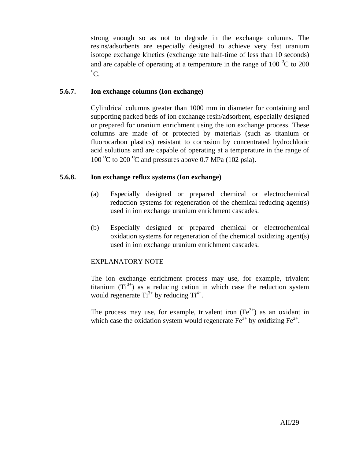strong enough so as not to degrade in the exchange columns. The resins/adsorbents are especially designed to achieve very fast uranium isotope exchange kinetics (exchange rate half-time of less than 10 seconds) and are capable of operating at a temperature in the range of  $100^{\circ}$ C to  $200$  $\mathrm{C}$ .

#### **5.6.7. Ion exchange columns (Ion exchange)**

Cylindrical columns greater than 1000 mm in diameter for containing and supporting packed beds of ion exchange resin/adsorbent, especially designed or prepared for uranium enrichment using the ion exchange process. These columns are made of or protected by materials (such as titanium or fluorocarbon plastics) resistant to corrosion by concentrated hydrochloric acid solutions and are capable of operating at a temperature in the range of 100 °C to 200 °C and pressures above 0.7 MPa (102 psia).

#### **5.6.8. Ion exchange reflux systems (Ion exchange)**

- (a) Especially designed or prepared chemical or electrochemical reduction systems for regeneration of the chemical reducing agent(s) used in ion exchange uranium enrichment cascades.
- (b) Especially designed or prepared chemical or electrochemical oxidation systems for regeneration of the chemical oxidizing agent(s) used in ion exchange uranium enrichment cascades.

## EXPLANATORY NOTE

The ion exchange enrichment process may use, for example, trivalent titanium  $(Ti^{3+})$  as a reducing cation in which case the reduction system would regenerate  $Ti^{3+}$  by reducing  $Ti^{4+}$ .

The process may use, for example, trivalent iron  $(Fe^{3+})$  as an oxidant in which case the oxidation system would regenerate  $\text{Fe}^{3+}$  by oxidizing  $\text{Fe}^{2+}$ .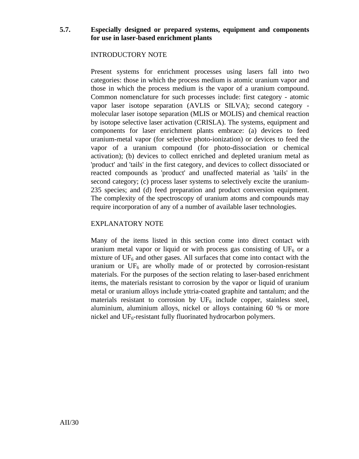## **5.7. Especially designed or prepared systems, equipment and components for use in laser-based enrichment plants**

#### INTRODUCTORY NOTE

Present systems for enrichment processes using lasers fall into two categories: those in which the process medium is atomic uranium vapor and those in which the process medium is the vapor of a uranium compound. Common nomenclature for such processes include: first category - atomic vapor laser isotope separation (AVLIS or SILVA); second category molecular laser isotope separation (MLIS or MOLIS) and chemical reaction by isotope selective laser activation (CRISLA). The systems, equipment and components for laser enrichment plants embrace: (a) devices to feed uranium-metal vapor (for selective photo-ionization) or devices to feed the vapor of a uranium compound (for photo-dissociation or chemical activation); (b) devices to collect enriched and depleted uranium metal as 'product' and 'tails' in the first category, and devices to collect dissociated or reacted compounds as 'product' and unaffected material as 'tails' in the second category; (c) process laser systems to selectively excite the uranium-235 species; and (d) feed preparation and product conversion equipment. The complexity of the spectroscopy of uranium atoms and compounds may require incorporation of any of a number of available laser technologies.

#### EXPLANATORY NOTE

Many of the items listed in this section come into direct contact with uranium metal vapor or liquid or with process gas consisting of  $UF<sub>6</sub>$  or a mixture of  $UF_6$  and other gases. All surfaces that come into contact with the uranium or  $UF_6$  are wholly made of or protected by corrosion-resistant materials. For the purposes of the section relating to laser-based enrichment items, the materials resistant to corrosion by the vapor or liquid of uranium metal or uranium alloys include yttria-coated graphite and tantalum; and the materials resistant to corrosion by  $UF_6$  include copper, stainless steel, aluminium, aluminium alloys, nickel or alloys containing 60 % or more nickel and  $UF_6$ -resistant fully fluorinated hydrocarbon polymers.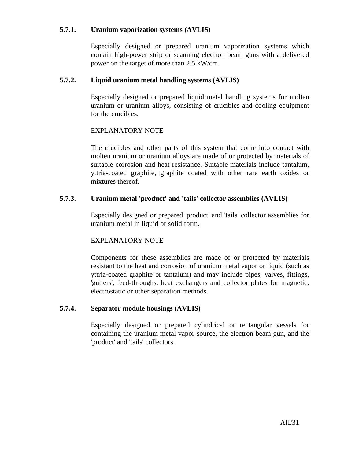#### **5.7.1. Uranium vaporization systems (AVLIS)**

Especially designed or prepared uranium vaporization systems which contain high-power strip or scanning electron beam guns with a delivered power on the target of more than 2.5 kW/cm.

#### **5.7.2. Liquid uranium metal handling systems (AVLIS)**

Especially designed or prepared liquid metal handling systems for molten uranium or uranium alloys, consisting of crucibles and cooling equipment for the crucibles.

## EXPLANATORY NOTE

The crucibles and other parts of this system that come into contact with molten uranium or uranium alloys are made of or protected by materials of suitable corrosion and heat resistance. Suitable materials include tantalum, yttria-coated graphite, graphite coated with other rare earth oxides or mixtures thereof.

#### **5.7.3. Uranium metal 'product' and 'tails' collector assemblies (AVLIS)**

Especially designed or prepared 'product' and 'tails' collector assemblies for uranium metal in liquid or solid form.

## EXPLANATORY NOTE

Components for these assemblies are made of or protected by materials resistant to the heat and corrosion of uranium metal vapor or liquid (such as yttria-coated graphite or tantalum) and may include pipes, valves, fittings, 'gutters', feed-throughs, heat exchangers and collector plates for magnetic, electrostatic or other separation methods.

#### **5.7.4. Separator module housings (AVLIS)**

Especially designed or prepared cylindrical or rectangular vessels for containing the uranium metal vapor source, the electron beam gun, and the 'product' and 'tails' collectors.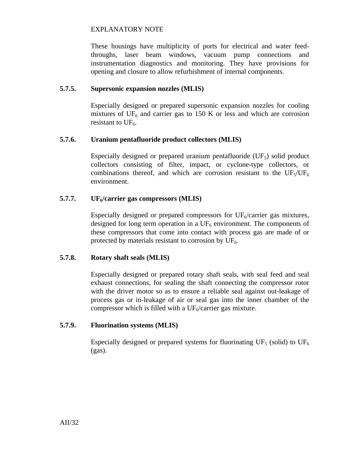## EXPLANATORY NOTE

These housings have multiplicity of ports for electrical and water feedthroughs, laser beam windows, vacuum pump connections and instrumentation diagnostics and monitoring. They have provisions for opening and closure to allow refurbishment of internal components.

## **5.7.5. Supersonic expansion nozzles (MLIS)**

Especially designed or prepared supersonic expansion nozzles for cooling mixtures of UF<sub>6</sub> and carrier gas to 150 K or less and which are corrosion resistant to  $UF<sub>6</sub>$ .

## **5.7.6. Uranium pentafluoride product collectors (MLIS)**

Especially designed or prepared uranium pentafluoride  $(UF_5)$  solid product collectors consisting of filter, impact, or cyclone-type collectors, or combinations thereof, and which are corrosion resistant to the  $UF<sub>5</sub>/UF<sub>6</sub>$ environment.

## **5.7.7. UF6/carrier gas compressors (MLIS)**

Especially designed or prepared compressors for  $UF<sub>6</sub>/\text{carrier gas mixtures}$ , designed for long term operation in a  $UF<sub>6</sub>$  environment. The components of these compressors that come into contact with process gas are made of or protected by materials resistant to corrosion by  $UF<sub>6</sub>$ .

## **5.7.8. Rotary shaft seals (MLIS)**

Especially designed or prepared rotary shaft seals, with seal feed and seal exhaust connections, for sealing the shaft connecting the compressor rotor with the driver motor so as to ensure a reliable seal against out-leakage of process gas or in-leakage of air or seal gas into the inner chamber of the compressor which is filled with a  $UF<sub>6</sub>/\text{carrier gas mixture.}$ 

## **5.7.9. Fluorination systems (MLIS)**

Especially designed or prepared systems for fluorinating  $UF_5$  (solid) to  $UF_6$ (gas).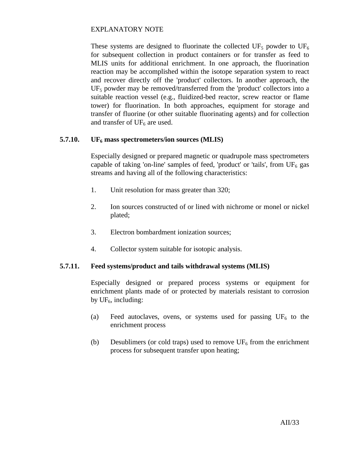## EXPLANATORY NOTE

These systems are designed to fluorinate the collected UF<sub>5</sub> powder to UF<sub>6</sub> for subsequent collection in product containers or for transfer as feed to MLIS units for additional enrichment. In one approach, the fluorination reaction may be accomplished within the isotope separation system to react and recover directly off the 'product' collectors. In another approach, the  $UF<sub>5</sub>$  powder may be removed/transferred from the 'product' collectors into a suitable reaction vessel (e.g., fluidized-bed reactor, screw reactor or flame tower) for fluorination. In both approaches, equipment for storage and transfer of fluorine (or other suitable fluorinating agents) and for collection and transfer of  $UF_6$  are used.

#### **5.7.10. UF6 mass spectrometers/ion sources (MLIS)**

Especially designed or prepared magnetic or quadrupole mass spectrometers capable of taking 'on-line' samples of feed, 'product' or 'tails', from  $UF<sub>6</sub>$  gas streams and having all of the following characteristics:

- 1. Unit resolution for mass greater than 320;
- 2. Ion sources constructed of or lined with nichrome or monel or nickel plated;
- 3. Electron bombardment ionization sources;
- 4. Collector system suitable for isotopic analysis.

#### **5.7.11. Feed systems/product and tails withdrawal systems (MLIS)**

Especially designed or prepared process systems or equipment for enrichment plants made of or protected by materials resistant to corrosion by  $UF_6$ , including:

- (a) Feed autoclaves, ovens, or systems used for passing  $UF_6$  to the enrichment process
- (b) Desublimers (or cold traps) used to remove  $UF_6$  from the enrichment process for subsequent transfer upon heating;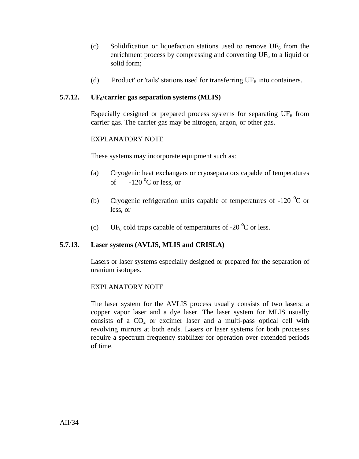- (c) Solidification or liquefaction stations used to remove  $UF_6$  from the enrichment process by compressing and converting  $UF<sub>6</sub>$  to a liquid or solid form;
- (d) 'Product' or 'tails' stations used for transferring  $UF_6$  into containers.

#### **5.7.12. UF6/carrier gas separation systems (MLIS)**

Especially designed or prepared process systems for separating  $UF<sub>6</sub>$  from carrier gas. The carrier gas may be nitrogen, argon, or other gas.

#### EXPLANATORY NOTE

These systems may incorporate equipment such as:

- (a) Cryogenic heat exchangers or cryoseparators capable of temperatures of  $-120^\circ$ C or less, or
- (b) Cryogenic refrigeration units capable of temperatures of -120  $^{\circ}$ C or less, or
- (c) UF<sub>6</sub> cold traps capable of temperatures of -20  $^{\circ}$ C or less.

#### **5.7.13. Laser systems (AVLIS, MLIS and CRISLA)**

Lasers or laser systems especially designed or prepared for the separation of uranium isotopes.

#### EXPLANATORY NOTE

The laser system for the AVLIS process usually consists of two lasers: a copper vapor laser and a dye laser. The laser system for MLIS usually consists of a  $CO<sub>2</sub>$  or excimer laser and a multi-pass optical cell with revolving mirrors at both ends. Lasers or laser systems for both processes require a spectrum frequency stabilizer for operation over extended periods of time.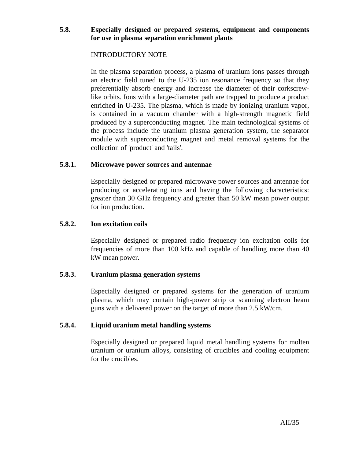## **5.8. Especially designed or prepared systems, equipment and components for use in plasma separation enrichment plants**

#### INTRODUCTORY NOTE

In the plasma separation process, a plasma of uranium ions passes through an electric field tuned to the U-235 ion resonance frequency so that they preferentially absorb energy and increase the diameter of their corkscrewlike orbits. Ions with a large-diameter path are trapped to produce a product enriched in U-235. The plasma, which is made by ionizing uranium vapor, is contained in a vacuum chamber with a high-strength magnetic field produced by a superconducting magnet. The main technological systems of the process include the uranium plasma generation system, the separator module with superconducting magnet and metal removal systems for the collection of 'product' and 'tails'.

## **5.8.1. Microwave power sources and antennae**

Especially designed or prepared microwave power sources and antennae for producing or accelerating ions and having the following characteristics: greater than 30 GHz frequency and greater than 50 kW mean power output for ion production.

#### **5.8.2. Ion excitation coils**

Especially designed or prepared radio frequency ion excitation coils for frequencies of more than 100 kHz and capable of handling more than 40 kW mean power.

## **5.8.3. Uranium plasma generation systems**

Especially designed or prepared systems for the generation of uranium plasma, which may contain high-power strip or scanning electron beam guns with a delivered power on the target of more than 2.5 kW/cm.

#### **5.8.4. Liquid uranium metal handling systems**

Especially designed or prepared liquid metal handling systems for molten uranium or uranium alloys, consisting of crucibles and cooling equipment for the crucibles.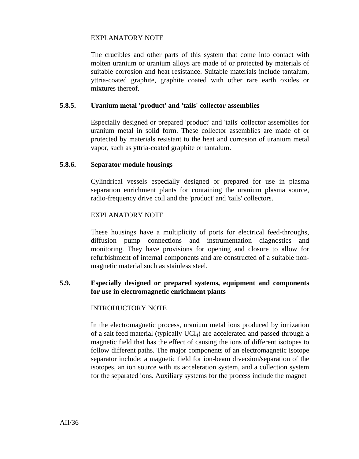#### EXPLANATORY NOTE

The crucibles and other parts of this system that come into contact with molten uranium or uranium alloys are made of or protected by materials of suitable corrosion and heat resistance. Suitable materials include tantalum, yttria-coated graphite, graphite coated with other rare earth oxides or mixtures thereof.

#### **5.8.5. Uranium metal 'product' and 'tails' collector assemblies**

Especially designed or prepared 'product' and 'tails' collector assemblies for uranium metal in solid form. These collector assemblies are made of or protected by materials resistant to the heat and corrosion of uranium metal vapor, such as yttria-coated graphite or tantalum.

#### **5.8.6. Separator module housings**

Cylindrical vessels especially designed or prepared for use in plasma separation enrichment plants for containing the uranium plasma source, radio-frequency drive coil and the 'product' and 'tails' collectors.

## EXPLANATORY NOTE

These housings have a multiplicity of ports for electrical feed-throughs, diffusion pump connections and instrumentation diagnostics and monitoring. They have provisions for opening and closure to allow for refurbishment of internal components and are constructed of a suitable nonmagnetic material such as stainless steel.

## **5.9. Especially designed or prepared systems, equipment and components for use in electromagnetic enrichment plants**

#### INTRODUCTORY NOTE

In the electromagnetic process, uranium metal ions produced by ionization of a salt feed material (typically  $UCl_4$ ) are accelerated and passed through a magnetic field that has the effect of causing the ions of different isotopes to follow different paths. The major components of an electromagnetic isotope separator include: a magnetic field for ion-beam diversion/separation of the isotopes, an ion source with its acceleration system, and a collection system for the separated ions. Auxiliary systems for the process include the magnet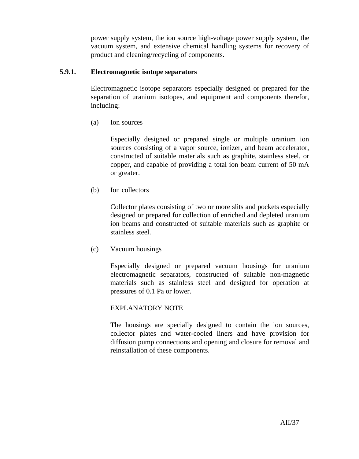power supply system, the ion source high-voltage power supply system, the vacuum system, and extensive chemical handling systems for recovery of product and cleaning/recycling of components.

## **5.9.1. Electromagnetic isotope separators**

Electromagnetic isotope separators especially designed or prepared for the separation of uranium isotopes, and equipment and components therefor, including:

(a) Ion sources

Especially designed or prepared single or multiple uranium ion sources consisting of a vapor source, ionizer, and beam accelerator, constructed of suitable materials such as graphite, stainless steel, or copper, and capable of providing a total ion beam current of 50 mA or greater.

(b) Ion collectors

Collector plates consisting of two or more slits and pockets especially designed or prepared for collection of enriched and depleted uranium ion beams and constructed of suitable materials such as graphite or stainless steel.

(c) Vacuum housings

Especially designed or prepared vacuum housings for uranium electromagnetic separators, constructed of suitable non-magnetic materials such as stainless steel and designed for operation at pressures of 0.1 Pa or lower.

# EXPLANATORY NOTE

The housings are specially designed to contain the ion sources, collector plates and water-cooled liners and have provision for diffusion pump connections and opening and closure for removal and reinstallation of these components.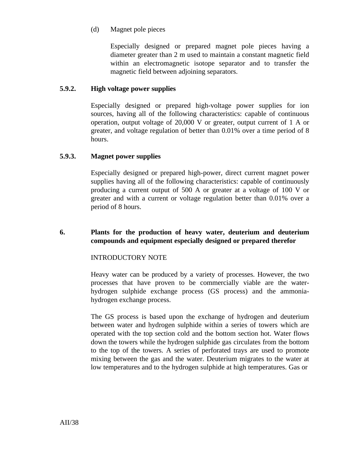(d) Magnet pole pieces

Especially designed or prepared magnet pole pieces having a diameter greater than 2 m used to maintain a constant magnetic field within an electromagnetic isotope separator and to transfer the magnetic field between adjoining separators.

# **5.9.2. High voltage power supplies**

Especially designed or prepared high-voltage power supplies for ion sources, having all of the following characteristics: capable of continuous operation, output voltage of 20,000 V or greater, output current of 1 A or greater, and voltage regulation of better than 0.01% over a time period of 8 hours.

## **5.9.3. Magnet power supplies**

Especially designed or prepared high-power, direct current magnet power supplies having all of the following characteristics: capable of continuously producing a current output of 500 A or greater at a voltage of 100 V or greater and with a current or voltage regulation better than 0.01% over a period of 8 hours.

## **6. Plants for the production of heavy water, deuterium and deuterium compounds and equipment especially designed or prepared therefor**

## INTRODUCTORY NOTE

Heavy water can be produced by a variety of processes. However, the two processes that have proven to be commercially viable are the waterhydrogen sulphide exchange process (GS process) and the ammoniahydrogen exchange process.

The GS process is based upon the exchange of hydrogen and deuterium between water and hydrogen sulphide within a series of towers which are operated with the top section cold and the bottom section hot. Water flows down the towers while the hydrogen sulphide gas circulates from the bottom to the top of the towers. A series of perforated trays are used to promote mixing between the gas and the water. Deuterium migrates to the water at low temperatures and to the hydrogen sulphide at high temperatures. Gas or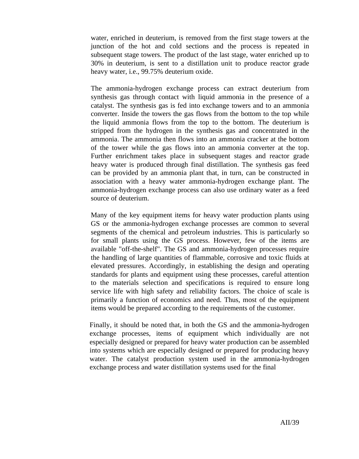water, enriched in deuterium, is removed from the first stage towers at the junction of the hot and cold sections and the process is repeated in subsequent stage towers. The product of the last stage, water enriched up to 30% in deuterium, is sent to a distillation unit to produce reactor grade heavy water, i.e., 99.75% deuterium oxide.

The ammonia-hydrogen exchange process can extract deuterium from synthesis gas through contact with liquid ammonia in the presence of a catalyst. The synthesis gas is fed into exchange towers and to an ammonia converter. Inside the towers the gas flows from the bottom to the top while the liquid ammonia flows from the top to the bottom. The deuterium is stripped from the hydrogen in the synthesis gas and concentrated in the ammonia. The ammonia then flows into an ammonia cracker at the bottom of the tower while the gas flows into an ammonia converter at the top. Further enrichment takes place in subsequent stages and reactor grade heavy water is produced through final distillation. The synthesis gas feed can be provided by an ammonia plant that, in turn, can be constructed in association with a heavy water ammonia-hydrogen exchange plant. The ammonia-hydrogen exchange process can also use ordinary water as a feed source of deuterium.

Many of the key equipment items for heavy water production plants using GS or the ammonia-hydrogen exchange processes are common to several segments of the chemical and petroleum industries. This is particularly so for small plants using the GS process. However, few of the items are available "off-the-shelf". The GS and ammonia-hydrogen processes require the handling of large quantities of flammable, corrosive and toxic fluids at elevated pressures. Accordingly, in establishing the design and operating standards for plants and equipment using these processes, careful attention to the materials selection and specifications is required to ensure long service life with high safety and reliability factors. The choice of scale is primarily a function of economics and need. Thus, most of the equipment items would be prepared according to the requirements of the customer.

Finally, it should be noted that, in both the GS and the ammonia-hydrogen exchange processes, items of equipment which individually are not especially designed or prepared for heavy water production can be assembled into systems which are especially designed or prepared for producing heavy water. The catalyst production system used in the ammonia-hydrogen exchange process and water distillation systems used for the final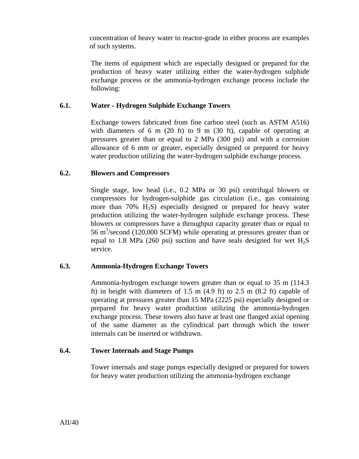concentration of heavy water to reactor-grade in either process are examples of such systems.

The items of equipment which are especially designed or prepared for the production of heavy water utilizing either the water-hydrogen sulphide exchange process or the ammonia-hydrogen exchange process include the following:

# **6.1. Water - Hydrogen Sulphide Exchange Towers**

Exchange towers fabricated from fine carbon steel (such as ASTM A516) with diameters of 6 m (20 ft) to 9 m (30 ft), capable of operating at pressures greater than or equal to 2 MPa (300 psi) and with a corrosion allowance of 6 mm or greater, especially designed or prepared for heavy water production utilizing the water-hydrogen sulphide exchange process.

## **6.2. Blowers and Compressors**

Single stage, low head (i.e., 0.2 MPa or 30 psi) centrifugal blowers or compressors for hydrogen-sulphide gas circulation (i.e., gas containing more than  $70\%$  H<sub>2</sub>S) especially designed or prepared for heavy water production utilizing the water-hydrogen sulphide exchange process. These blowers or compressors have a throughput capacity greater than or equal to 56 m<sup>3</sup>/second (120,000 SCFM) while operating at pressures greater than or equal to 1.8 MPa (260 psi) suction and have seals designed for wet  $H_2S$ service.

# **6.3. Ammonia-Hydrogen Exchange Towers**

Ammonia-hydrogen exchange towers greater than or equal to 35 m (114.3 ft) in height with diameters of  $1.5 \text{ m}$  (4.9 ft) to  $2.5 \text{ m}$  (8.2 ft) capable of operating at pressures greater than 15 MPa (2225 psi) especially designed or prepared for heavy water production utilizing the ammonia-hydrogen exchange process. These towers also have at least one flanged axial opening of the same diameter as the cylindrical part through which the tower internals can be inserted or withdrawn.

## **6.4. Tower Internals and Stage Pumps**

Tower internals and stage pumps especially designed or prepared for towers for heavy water production utilizing the ammonia-hydrogen exchange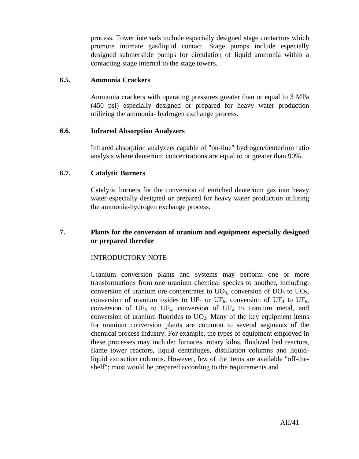process. Tower internals include especially designed stage contactors which promote intimate gas/liquid contact. Stage pumps include especially designed submersible pumps for circulation of liquid ammonia within a contacting stage internal to the stage towers.

#### **6.5. Ammonia Crackers**

Ammonia crackers with operating pressures greater than or equal to 3 MPa (450 psi) especially designed or prepared for heavy water production utilizing the ammonia- hydrogen exchange process.

#### **6.6. Infrared Absorption Analyzers**

Infrared absorption analyzers capable of "on-line" hydrogen/deuterium ratio analysis where deuterium concentrations are equal to or greater than 90%.

## **6.7. Catalytic Burners**

Catalytic burners for the conversion of enriched deuterium gas into heavy water especially designed or prepared for heavy water production utilizing the ammonia-hydrogen exchange process.

## **7. Plants for the conversion of uranium and equipment especially designed or prepared therefor**

## INTRODUCTORY NOTE

Uranium conversion plants and systems may perform one or more transformations from one uranium chemical species to another, including: conversion of uranium ore concentrates to  $UO<sub>3</sub>$ , conversion of  $UO<sub>3</sub>$  to  $UO<sub>2</sub>$ , conversion of uranium oxides to UF<sub>4</sub> or UF<sub>6</sub>, conversion of UF<sub>4</sub> to UF<sub>6</sub>, conversion of UF<sub>6</sub> to UF<sub>4</sub>, conversion of UF<sub>4</sub> to uranium metal, and conversion of uranium fluorides to  $UO<sub>2</sub>$ . Many of the key equipment items for uranium conversion plants are common to several segments of the chemical process industry. For example, the types of equipment employed in these processes may include: furnaces, rotary kilns, fluidized bed reactors, flame tower reactors, liquid centrifuges, distillation columns and liquidliquid extraction columns. However, few of the items are available "off-theshelf"; most would be prepared according to the requirements and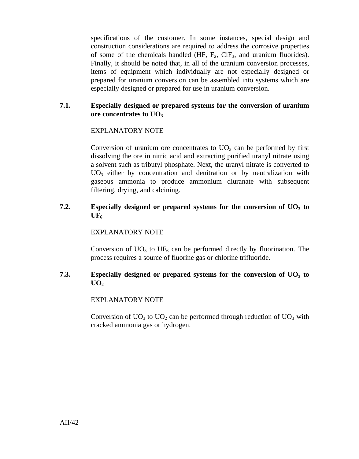specifications of the customer. In some instances, special design and construction considerations are required to address the corrosive properties of some of the chemicals handled (HF,  $F_2$ , ClF<sub>3</sub>, and uranium fluorides). Finally, it should be noted that, in all of the uranium conversion processes, items of equipment which individually are not especially designed or prepared for uranium conversion can be assembled into systems which are especially designed or prepared for use in uranium conversion.

# **7.1. Especially designed or prepared systems for the conversion of uranium ore concentrates to UO<sup>3</sup>**

# EXPLANATORY NOTE

Conversion of uranium ore concentrates to  $UO_3$  can be performed by first dissolving the ore in nitric acid and extracting purified uranyl nitrate using a solvent such as tributyl phosphate. Next, the uranyl nitrate is converted to  $UO<sub>3</sub>$  either by concentration and denitration or by neutralization with gaseous ammonia to produce ammonium diuranate with subsequent filtering, drying, and calcining.

# **7.2. Especially designed or prepared systems for the conversion of UO3 to**  $UF<sub>6</sub>$

## EXPLANATORY NOTE

Conversion of  $UO_3$  to  $UF_6$  can be performed directly by fluorination. The process requires a source of fluorine gas or chlorine trifluoride.

# **7.3. Especially designed or prepared systems for the conversion of UO3 to**  $\mathbf{U}\mathbf{O}_2$

## EXPLANATORY NOTE

Conversion of  $UO_3$  to  $UO_2$  can be performed through reduction of  $UO_3$  with cracked ammonia gas or hydrogen.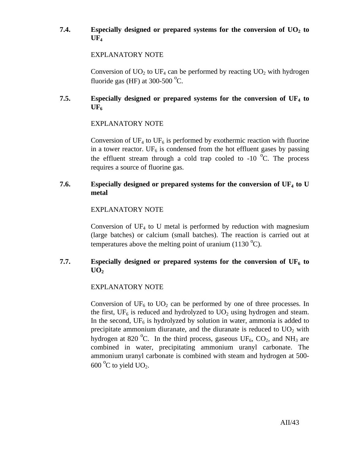# **7.4. Especially designed or prepared systems for the conversion of UO2 to**  $U\mathbf{F}_4$

#### EXPLANATORY NOTE

Conversion of  $UO<sub>2</sub>$  to  $UF<sub>4</sub>$  can be performed by reacting  $UO<sub>2</sub>$  with hydrogen fluoride gas (HF) at  $300-500$  °C.

# **7.5. Especially designed or prepared systems for the conversion of UF4 to UF<sup>6</sup>**

## EXPLANATORY NOTE

Conversion of UF<sub>4</sub> to UF<sub>6</sub> is performed by exothermic reaction with fluorine in a tower reactor. UF<sub>6</sub> is condensed from the hot effluent gases by passing the effluent stream through a cold trap cooled to  $-10^{-0}$ C. The process requires a source of fluorine gas.

# **7.6. Especially designed or prepared systems for the conversion of UF4 to U metal**

## EXPLANATORY NOTE

Conversion of  $UF_4$  to U metal is performed by reduction with magnesium (large batches) or calcium (small batches). The reaction is carried out at temperatures above the melting point of uranium (1130 $\mathrm{^0C}$ ).

# **7.7. Especially designed or prepared systems for the conversion of UF6 to UO<sup>2</sup>**

## EXPLANATORY NOTE

Conversion of  $UF_6$  to  $UO_2$  can be performed by one of three processes. In the first,  $UF_6$  is reduced and hydrolyzed to  $UO_2$  using hydrogen and steam. In the second,  $UF<sub>6</sub>$  is hydrolyzed by solution in water, ammonia is added to precipitate ammonium diuranate, and the diuranate is reduced to  $UO<sub>2</sub>$  with hydrogen at 820 °C. In the third process, gaseous  $UF_6$ ,  $CO_2$ , and  $NH_3$  are combined in water, precipitating ammonium uranyl carbonate. The ammonium uranyl carbonate is combined with steam and hydrogen at 500-  $600^{\circ}$ C to yield UO<sub>2</sub>.